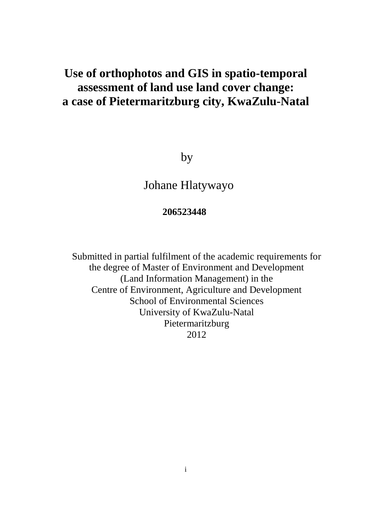# **Use of orthophotos and GIS in spatio-temporal assessment of land use land cover change: a case of Pietermaritzburg city, KwaZulu-Natal**

by

Johane Hlatywayo

## **206523448**

Submitted in partial fulfilment of the academic requirements for the degree of Master of Environment and Development (Land Information Management) in the Centre of Environment, Agriculture and Development School of Environmental Sciences University of KwaZulu-Natal Pietermaritzburg 2012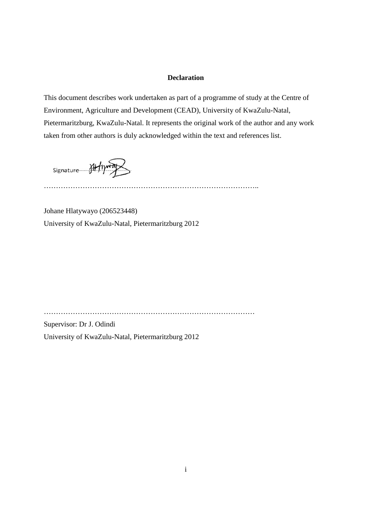#### **Declaration**

This document describes work undertaken as part of a programme of study at the Centre of Environment, Agriculture and Development (CEAD), University of KwaZulu-Natal, Pietermaritzburg, KwaZulu-Natal. It represents the original work of the author and any work taken from other authors is duly acknowledged within the text and references list.

Signature Althyway

……………………………………………………………………………..

Johane Hlatywayo (206523448) University of KwaZulu-Natal, Pietermaritzburg 2012

……………………………………………………………………………

Supervisor: Dr J. Odindi University of KwaZulu-Natal, Pietermaritzburg 2012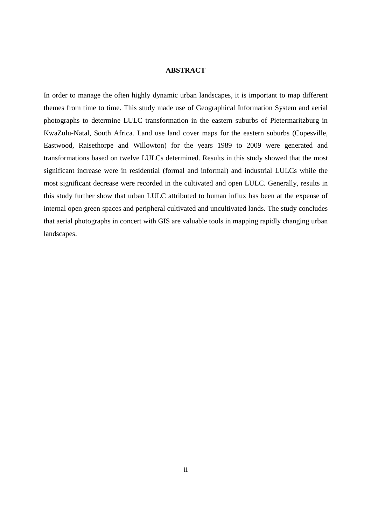#### **ABSTRACT**

In order to manage the often highly dynamic urban landscapes, it is important to map different themes from time to time. This study made use of Geographical Information System and aerial photographs to determine LULC transformation in the eastern suburbs of Pietermaritzburg in KwaZulu-Natal, South Africa. Land use land cover maps for the eastern suburbs (Copesville, Eastwood, Raisethorpe and Willowton) for the years 1989 to 2009 were generated and transformations based on twelve LULCs determined. Results in this study showed that the most significant increase were in residential (formal and informal) and industrial LULCs while the most significant decrease were recorded in the cultivated and open LULC. Generally, results in this study further show that urban LULC attributed to human influx has been at the expense of internal open green spaces and peripheral cultivated and uncultivated lands. The study concludes that aerial photographs in concert with GIS are valuable tools in mapping rapidly changing urban landscapes.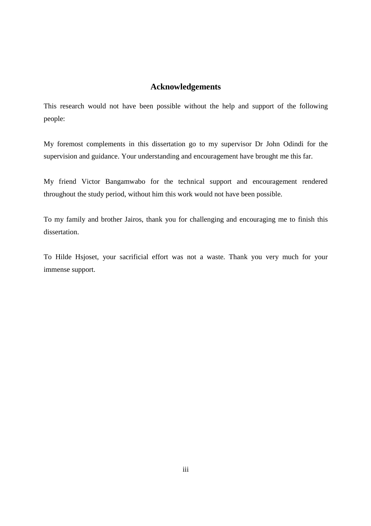### **Acknowledgements**

This research would not have been possible without the help and support of the following people:

My foremost complements in this dissertation go to my supervisor Dr John Odindi for the supervision and guidance. Your understanding and encouragement have brought me this far.

My friend Victor Bangamwabo for the technical support and encouragement rendered throughout the study period, without him this work would not have been possible.

To my family and brother Jairos, thank you for challenging and encouraging me to finish this dissertation.

To Hilde Hsjoset, your sacrificial effort was not a waste. Thank you very much for your immense support.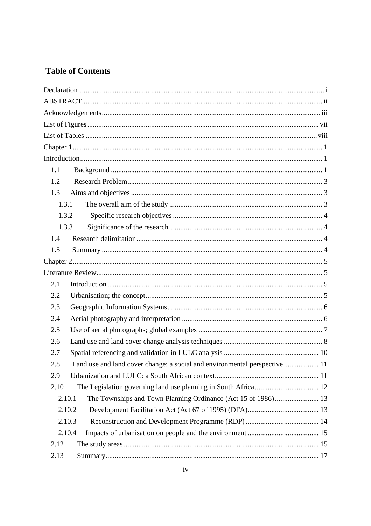## **Table of Contents**

| 1.1                                                                               |
|-----------------------------------------------------------------------------------|
| 1.2                                                                               |
| 1.3                                                                               |
| 1.3.1                                                                             |
| 1.3.2                                                                             |
| 1.3.3                                                                             |
| 1.4                                                                               |
| 1.5                                                                               |
|                                                                                   |
|                                                                                   |
| 2.1                                                                               |
| 2.2                                                                               |
| 2.3                                                                               |
| 2.4                                                                               |
| 2.5                                                                               |
| 2.6                                                                               |
| 2.7                                                                               |
| Land use and land cover change: a social and environmental perspective  11<br>2.8 |
| 2.9                                                                               |
| 2.10                                                                              |
| The Townships and Town Planning Ordinance (Act 15 of 1986) 13<br>2.10.1           |
| 2.10.2                                                                            |
| 2.10.3                                                                            |
| 2.10.4                                                                            |
| 2.12                                                                              |
| 2.13                                                                              |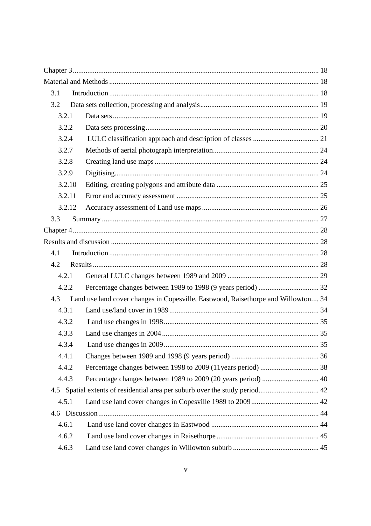| 3.1    |                                                                                   |  |
|--------|-----------------------------------------------------------------------------------|--|
| 3.2    |                                                                                   |  |
| 3.2.1  |                                                                                   |  |
| 3.2.2  |                                                                                   |  |
| 3.2.4  |                                                                                   |  |
| 3.2.7  |                                                                                   |  |
| 3.2.8  |                                                                                   |  |
| 3.2.9  |                                                                                   |  |
| 3.2.10 |                                                                                   |  |
| 3.2.11 |                                                                                   |  |
| 3.2.12 |                                                                                   |  |
| 3.3    |                                                                                   |  |
|        |                                                                                   |  |
|        |                                                                                   |  |
| 4.1    |                                                                                   |  |
| 4.2    |                                                                                   |  |
| 4.2.1  |                                                                                   |  |
| 4.2.2  |                                                                                   |  |
| 4.3    | Land use land cover changes in Copesville, Eastwood, Raisethorpe and Willowton 34 |  |
| 4.3.1  |                                                                                   |  |
| 4.3.2  |                                                                                   |  |
| 4.3.3  |                                                                                   |  |
| 4.3.4  |                                                                                   |  |
| 4.4.1  |                                                                                   |  |
| 4.4.2  |                                                                                   |  |
| 4.4.3  | Percentage changes between 1989 to 2009 (20 years period)  40                     |  |
|        |                                                                                   |  |
| 4.5.1  |                                                                                   |  |
|        |                                                                                   |  |
| 4.6.1  |                                                                                   |  |
| 4.6.2  |                                                                                   |  |
| 4.6.3  |                                                                                   |  |
|        |                                                                                   |  |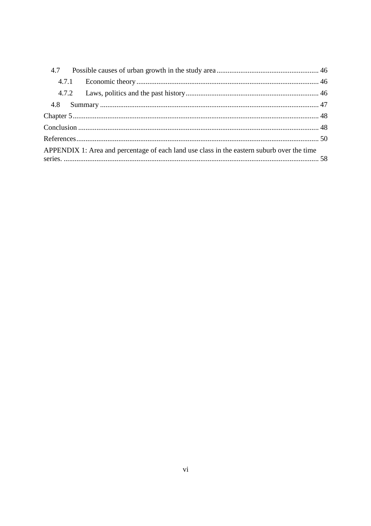| 4.7 |                                                                                            |  |
|-----|--------------------------------------------------------------------------------------------|--|
|     | 4.7.1                                                                                      |  |
|     |                                                                                            |  |
|     |                                                                                            |  |
|     |                                                                                            |  |
|     |                                                                                            |  |
|     |                                                                                            |  |
|     | APPENDIX 1: Area and percentage of each land use class in the eastern suburb over the time |  |
|     |                                                                                            |  |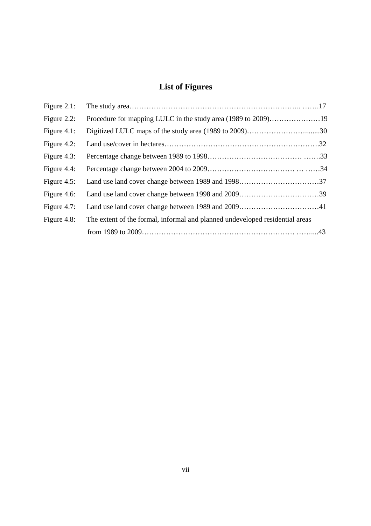# **List of Figures**

| Figure $2.1$ : |                                                                              |  |
|----------------|------------------------------------------------------------------------------|--|
| Figure 2.2:    |                                                                              |  |
| Figure 4.1:    | Digitized LULC maps of the study area (1989 to 2009)30                       |  |
| Figure 4.2:    |                                                                              |  |
| Figure 4.3:    |                                                                              |  |
| Figure $4.4$ : |                                                                              |  |
| Figure $4.5$ : |                                                                              |  |
| Figure $4.6$ : |                                                                              |  |
| Figure 4.7:    |                                                                              |  |
| Figure $4.8$ : | The extent of the formal, informal and planned undeveloped residential areas |  |
|                |                                                                              |  |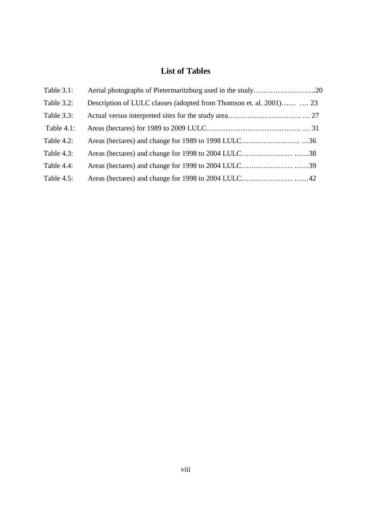# **List of Tables**

| Table 3.1:    |                                                                     |  |
|---------------|---------------------------------------------------------------------|--|
| Table 3.2:    | Description of LULC classes (adopted from Thomson et. al. 2001)  23 |  |
| Table 3.3:    |                                                                     |  |
| Table $4.1$ : |                                                                     |  |
| Table $4.2$ : |                                                                     |  |
| Table $4.3$ : |                                                                     |  |
| Table 4.4:    |                                                                     |  |
| Table $4.5$ : |                                                                     |  |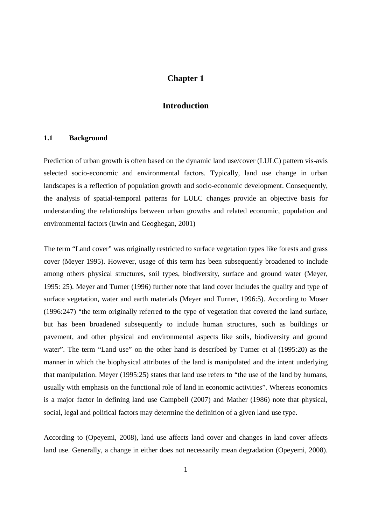### **Chapter 1**

### **Introduction**

#### **1.1 Background**

Prediction of urban growth is often based on the dynamic land use/cover (LULC) pattern vis-avis selected socio-economic and environmental factors. Typically, land use change in urban landscapes is a reflection of population growth and socio-economic development. Consequently, the analysis of spatial-temporal patterns for LULC changes provide an objective basis for understanding the relationships between urban growths and related economic, population and environmental factors (Irwin and Geoghegan, 2001)

The term "Land cover" was originally restricted to surface vegetation types like forests and grass cover (Meyer 1995). However, usage of this term has been subsequently broadened to include among others physical structures, soil types, biodiversity, surface and ground water (Meyer, 1995: 25). Meyer and Turner (1996) further note that land cover includes the quality and type of surface vegetation, water and earth materials (Meyer and Turner, 1996:5). According to Moser (1996:247) "the term originally referred to the type of vegetation that covered the land surface, but has been broadened subsequently to include human structures, such as buildings or pavement, and other physical and environmental aspects like soils, biodiversity and ground water". The term "Land use" on the other hand is described by Turner et al (1995:20) as the manner in which the biophysical attributes of the land is manipulated and the intent underlying that manipulation. Meyer (1995:25) states that land use refers to "the use of the land by humans, usually with emphasis on the functional role of land in economic activities". Whereas economics is a major factor in defining land use Campbell (2007) and Mather (1986) note that physical, social, legal and political factors may determine the definition of a given land use type.

According to (Opeyemi, 2008), land use affects land cover and changes in land cover affects land use. Generally, a change in either does not necessarily mean degradation (Opeyemi, 2008).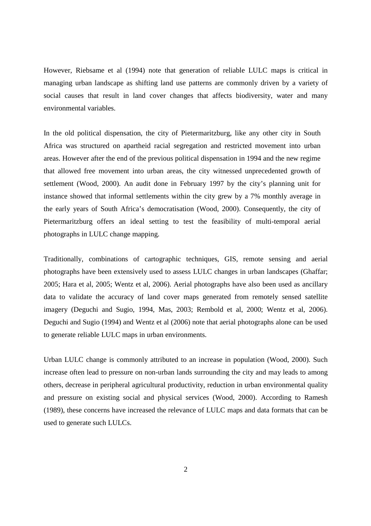However, Riebsame et al (1994) note that generation of reliable LULC maps is critical in managing urban landscape as shifting land use patterns are commonly driven by a variety of social causes that result in land cover changes that affects biodiversity, water and many environmental variables.

In the old political dispensation, the city of Pietermaritzburg, like any other city in South Africa was structured on apartheid racial segregation and restricted movement into urban areas. However after the end of the previous political dispensation in 1994 and the new regime that allowed free movement into urban areas, the city witnessed unprecedented growth of settlement (Wood, 2000). An audit done in February 1997 by the city's planning unit for instance showed that informal settlements within the city grew by a 7% monthly average in the early years of South Africa's democratisation (Wood, 2000). Consequently, the city of Pietermaritzburg offers an ideal setting to test the feasibility of multi-temporal aerial photographs in LULC change mapping.

Traditionally, combinations of cartographic techniques, GIS, remote sensing and aerial photographs have been extensively used to assess LULC changes in urban landscapes (Ghaffar; 2005; Hara et al, 2005; Wentz et al, 2006). Aerial photographs have also been used as ancillary data to validate the accuracy of land cover maps generated from remotely sensed satellite imagery (Deguchi and Sugio, 1994, Mas, 2003; Rembold et al, 2000; Wentz et al, 2006). Deguchi and Sugio (1994) and Wentz et al (2006) note that aerial photographs alone can be used to generate reliable LULC maps in urban environments.

Urban LULC change is commonly attributed to an increase in population (Wood, 2000). Such increase often lead to pressure on non-urban lands surrounding the city and may leads to among others, decrease in peripheral agricultural productivity, reduction in urban environmental quality and pressure on existing social and physical services (Wood, 2000). According to Ramesh (1989), these concerns have increased the relevance of LULC maps and data formats that can be used to generate such LULCs.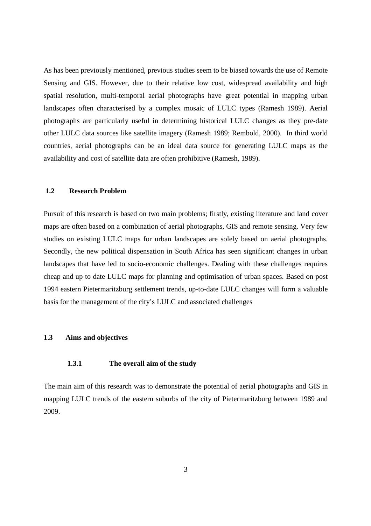As has been previously mentioned, previous studies seem to be biased towards the use of Remote Sensing and GIS. However, due to their relative low cost, widespread availability and high spatial resolution, multi-temporal aerial photographs have great potential in mapping urban landscapes often characterised by a complex mosaic of LULC types (Ramesh 1989). Aerial photographs are particularly useful in determining historical LULC changes as they pre-date other LULC data sources like satellite imagery (Ramesh 1989; Rembold, 2000). In third world countries, aerial photographs can be an ideal data source for generating LULC maps as the availability and cost of satellite data are often prohibitive (Ramesh, 1989).

#### **1.2 Research Problem**

Pursuit of this research is based on two main problems; firstly, existing literature and land cover maps are often based on a combination of aerial photographs, GIS and remote sensing. Very few studies on existing LULC maps for urban landscapes are solely based on aerial photographs. Secondly, the new political dispensation in South Africa has seen significant changes in urban landscapes that have led to socio-economic challenges. Dealing with these challenges requires cheap and up to date LULC maps for planning and optimisation of urban spaces. Based on post 1994 eastern Pietermaritzburg settlement trends, up-to-date LULC changes will form a valuable basis for the management of the city's LULC and associated challenges

#### **1.3 Aims and objectives**

#### **1.3.1 The overall aim of the study**

The main aim of this research was to demonstrate the potential of aerial photographs and GIS in mapping LULC trends of the eastern suburbs of the city of Pietermaritzburg between 1989 and 2009.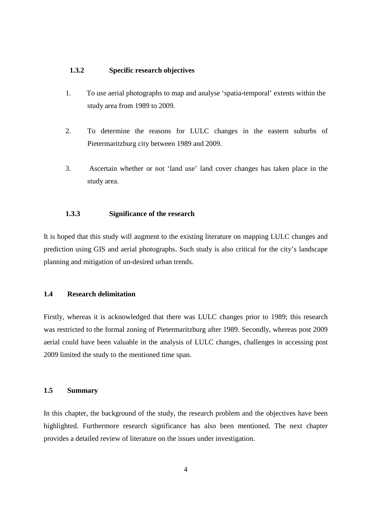#### **1.3.2 Specific research objectives**

- 1. To use aerial photographs to map and analyse 'spatia-temporal' extents within the study area from 1989 to 2009.
- 2. To determine the reasons for LULC changes in the eastern suburbs of Pietermaritzburg city between 1989 and 2009.
- 3. Ascertain whether or not 'land use' land cover changes has taken place in the study area.

#### **1.3.3 Significance of the research**

It is hoped that this study will augment to the existing literature on mapping LULC changes and prediction using GIS and aerial photographs. Such study is also critical for the city's landscape planning and mitigation of un-desired urban trends.

#### **1.4 Research delimitation**

Firstly, whereas it is acknowledged that there was LULC changes prior to 1989; this research was restricted to the formal zoning of Pietermaritzburg after 1989. Secondly, whereas post 2009 aerial could have been valuable in the analysis of LULC changes, challenges in accessing post 2009 limited the study to the mentioned time span.

#### **1.5 Summary**

In this chapter, the background of the study, the research problem and the objectives have been highlighted. Furthermore research significance has also been mentioned. The next chapter provides a detailed review of literature on the issues under investigation.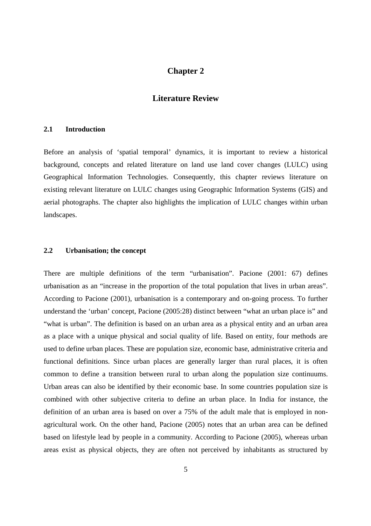### **Chapter 2**

#### **Literature Review**

#### **2.1 Introduction**

Before an analysis of 'spatial temporal' dynamics, it is important to review a historical background, concepts and related literature on land use land cover changes (LULC) using Geographical Information Technologies. Consequently, this chapter reviews literature on existing relevant literature on LULC changes using Geographic Information Systems (GIS) and aerial photographs. The chapter also highlights the implication of LULC changes within urban landscapes.

#### **2.2 Urbanisation; the concept**

There are multiple definitions of the term "urbanisation". Pacione (2001: 67) defines urbanisation as an "increase in the proportion of the total population that lives in urban areas". According to Pacione (2001), urbanisation is a contemporary and on-going process. To further understand the 'urban' concept, Pacione (2005:28) distinct between "what an urban place is" and "what is urban". The definition is based on an urban area as a physical entity and an urban area as a place with a unique physical and social quality of life. Based on entity, four methods are used to define urban places. These are population size, economic base, administrative criteria and functional definitions. Since urban places are generally larger than rural places, it is often common to define a transition between rural to urban along the population size continuums. Urban areas can also be identified by their economic base. In some countries population size is combined with other subjective criteria to define an urban place. In India for instance, the definition of an urban area is based on over a 75% of the adult male that is employed in nonagricultural work. On the other hand, Pacione (2005) notes that an urban area can be defined based on lifestyle lead by people in a community. According to Pacione (2005), whereas urban areas exist as physical objects, they are often not perceived by inhabitants as structured by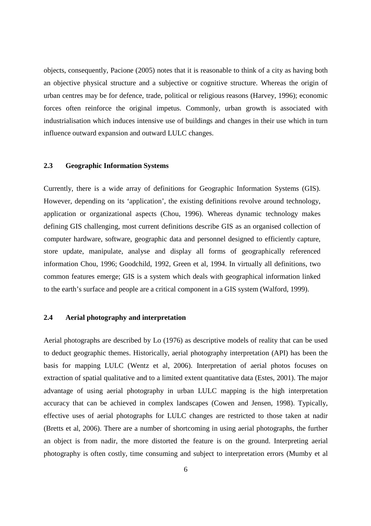objects, consequently, Pacione (2005) notes that it is reasonable to think of a city as having both an objective physical structure and a subjective or cognitive structure. Whereas the origin of urban centres may be for defence, trade, political or religious reasons (Harvey, 1996); economic forces often reinforce the original impetus. Commonly, urban growth is associated with industrialisation which induces intensive use of buildings and changes in their use which in turn influence outward expansion and outward LULC changes.

#### **2.3 Geographic Information Systems**

Currently, there is a wide array of definitions for Geographic Information Systems (GIS). However, depending on its 'application', the existing definitions revolve around technology, application or organizational aspects (Chou, 1996). Whereas dynamic technology makes defining GIS challenging, most current definitions describe GIS as an organised collection of computer hardware, software, geographic data and personnel designed to efficiently capture, store update, manipulate, analyse and display all forms of geographically referenced information Chou, 1996; Goodchild, 1992, Green et al, 1994. In virtually all definitions, two common features emerge; GIS is a system which deals with geographical information linked to the earth's surface and people are a critical component in a GIS system (Walford, 1999).

#### **2.4 Aerial photography and interpretation**

Aerial photographs are described by Lo (1976) as descriptive models of reality that can be used to deduct geographic themes. Historically, aerial photography interpretation (API) has been the basis for mapping LULC (Wentz et al, 2006). Interpretation of aerial photos focuses on extraction of spatial qualitative and to a limited extent quantitative data (Estes, 2001). The major advantage of using aerial photography in urban LULC mapping is the high interpretation accuracy that can be achieved in complex landscapes (Cowen and Jensen, 1998). Typically, effective uses of aerial photographs for LULC changes are restricted to those taken at nadir (Bretts et al, 2006). There are a number of shortcoming in using aerial photographs, the further an object is from nadir, the more distorted the feature is on the ground. Interpreting aerial photography is often costly, time consuming and subject to interpretation errors (Mumby et al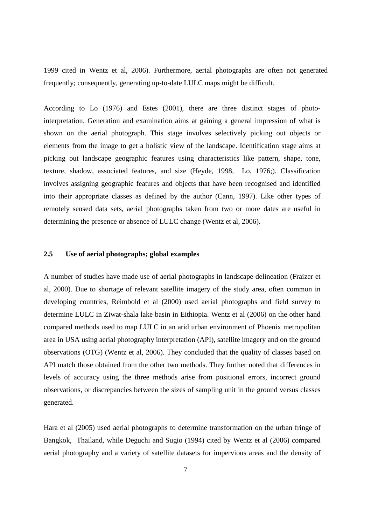1999 cited in Wentz et al, 2006). Furthermore, aerial photographs are often not generated frequently; consequently, generating up-to-date LULC maps might be difficult.

According to Lo (1976) and Estes (2001), there are three distinct stages of photointerpretation. Generation and examination aims at gaining a general impression of what is shown on the aerial photograph. This stage involves selectively picking out objects or elements from the image to get a holistic view of the landscape. Identification stage aims at picking out landscape geographic features using characteristics like pattern, shape, tone, texture, shadow, associated features, and size (Heyde, 1998, Lo, 1976;). Classification involves assigning geographic features and objects that have been recognised and identified into their appropriate classes as defined by the author (Cann, 1997). Like other types of remotely sensed data sets, aerial photographs taken from two or more dates are useful in determining the presence or absence of LULC change (Wentz et al, 2006).

#### **2.5 Use of aerial photographs; global examples**

A number of studies have made use of aerial photographs in landscape delineation (Fraizer et al, 2000). Due to shortage of relevant satellite imagery of the study area, often common in developing countries, Reimbold et al (2000) used aerial photographs and field survey to determine LULC in Ziwat-shala lake basin in Eithiopia. Wentz et al (2006) on the other hand compared methods used to map LULC in an arid urban environment of Phoenix metropolitan area in USA using aerial photography interpretation (API), satellite imagery and on the ground observations (OTG) (Wentz et al, 2006). They concluded that the quality of classes based on API match those obtained from the other two methods. They further noted that differences in levels of accuracy using the three methods arise from positional errors, incorrect ground observations, or discrepancies between the sizes of sampling unit in the ground versus classes generated.

Hara et al (2005) used aerial photographs to determine transformation on the urban fringe of Bangkok, Thailand, while Deguchi and Sugio (1994) cited by Wentz et al (2006) compared aerial photography and a variety of satellite datasets for impervious areas and the density of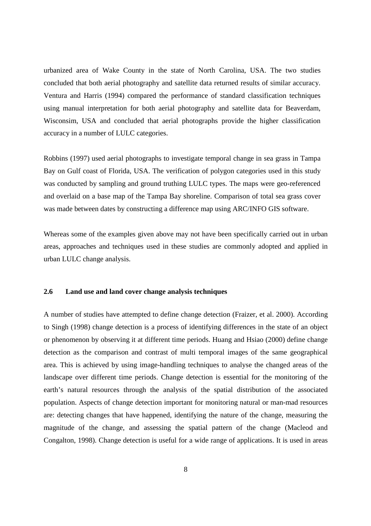urbanized area of Wake County in the state of North Carolina, USA. The two studies concluded that both aerial photography and satellite data returned results of similar accuracy. Ventura and Harris (1994) compared the performance of standard classification techniques using manual interpretation for both aerial photography and satellite data for Beaverdam, Wisconsim, USA and concluded that aerial photographs provide the higher classification accuracy in a number of LULC categories.

Robbins (1997) used aerial photographs to investigate temporal change in sea grass in Tampa Bay on Gulf coast of Florida, USA. The verification of polygon categories used in this study was conducted by sampling and ground truthing LULC types. The maps were geo-referenced and overlaid on a base map of the Tampa Bay shoreline. Comparison of total sea grass cover was made between dates by constructing a difference map using ARC/INFO GIS software.

Whereas some of the examples given above may not have been specifically carried out in urban areas, approaches and techniques used in these studies are commonly adopted and applied in urban LULC change analysis.

#### **2.6 Land use and land cover change analysis techniques**

A number of studies have attempted to define change detection (Fraizer, et al. 2000). According to Singh (1998) change detection is a process of identifying differences in the state of an object or phenomenon by observing it at different time periods. Huang and Hsiao (2000) define change detection as the comparison and contrast of multi temporal images of the same geographical area. This is achieved by using image-handling techniques to analyse the changed areas of the landscape over different time periods. Change detection is essential for the monitoring of the earth's natural resources through the analysis of the spatial distribution of the associated population. Aspects of change detection important for monitoring natural or man-mad resources are: detecting changes that have happened, identifying the nature of the change, measuring the magnitude of the change, and assessing the spatial pattern of the change (Macleod and Congalton, 1998). Change detection is useful for a wide range of applications. It is used in areas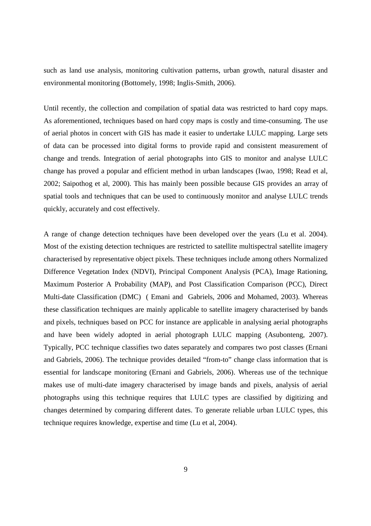such as land use analysis, monitoring cultivation patterns, urban growth, natural disaster and environmental monitoring (Bottomely, 1998; Inglis-Smith, 2006).

Until recently, the collection and compilation of spatial data was restricted to hard copy maps. As aforementioned, techniques based on hard copy maps is costly and time-consuming. The use of aerial photos in concert with GIS has made it easier to undertake LULC mapping. Large sets of data can be processed into digital forms to provide rapid and consistent measurement of change and trends. Integration of aerial photographs into GIS to monitor and analyse LULC change has proved a popular and efficient method in urban landscapes (Iwao, 1998; Read et al, 2002; Saipothog et al, 2000). This has mainly been possible because GIS provides an array of spatial tools and techniques that can be used to continuously monitor and analyse LULC trends quickly, accurately and cost effectively.

A range of change detection techniques have been developed over the years (Lu et al. 2004). Most of the existing detection techniques are restricted to satellite multispectral satellite imagery characterised by representative object pixels. These techniques include among others Normalized Difference Vegetation Index (NDVI), Principal Component Analysis (PCA), Image Rationing, Maximum Posterior A Probability (MAP), and Post Classification Comparison (PCC), Direct Multi-date Classification (DMC) ( Emani and Gabriels, 2006 and Mohamed, 2003). Whereas these classification techniques are mainly applicable to satellite imagery characterised by bands and pixels, techniques based on PCC for instance are applicable in analysing aerial photographs and have been widely adopted in aerial photograph LULC mapping (Asubonteng, 2007). Typically, PCC technique classifies two dates separately and compares two post classes (Ernani and Gabriels, 2006). The technique provides detailed "from-to" change class information that is essential for landscape monitoring (Ernani and Gabriels, 2006). Whereas use of the technique makes use of multi-date imagery characterised by image bands and pixels, analysis of aerial photographs using this technique requires that LULC types are classified by digitizing and changes determined by comparing different dates. To generate reliable urban LULC types, this technique requires knowledge, expertise and time (Lu et al, 2004).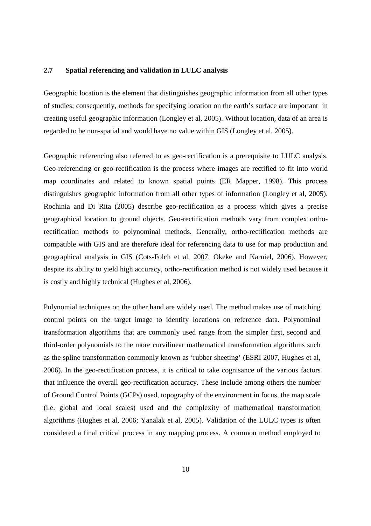#### **2.7 Spatial referencing and validation in LULC analysis**

Geographic location is the element that distinguishes geographic information from all other types of studies; consequently, methods for specifying location on the earth's surface are important in creating useful geographic information (Longley et al, 2005). Without location, data of an area is regarded to be non-spatial and would have no value within GIS (Longley et al, 2005).

Geographic referencing also referred to as geo-rectification is a prerequisite to LULC analysis. Geo-referencing or geo-rectification is the process where images are rectified to fit into world map coordinates and related to known spatial points (ER Mapper, 1998). This process distinguishes geographic information from all other types of information (Longley et al, 2005). Rochinia and Di Rita (2005) describe geo-rectification as a process which gives a precise geographical location to ground objects. Geo-rectification methods vary from complex orthorectification methods to polynominal methods. Generally, ortho-rectification methods are compatible with GIS and are therefore ideal for referencing data to use for map production and geographical analysis in GIS (Cots-Folch et al, 2007, Okeke and Karniel, 2006). However, despite its ability to yield high accuracy, ortho-rectification method is not widely used because it is costly and highly technical (Hughes et al, 2006).

Polynomial techniques on the other hand are widely used. The method makes use of matching control points on the target image to identify locations on reference data. Polynominal transformation algorithms that are commonly used range from the simpler first, second and third-order polynomials to the more curvilinear mathematical transformation algorithms such as the spline transformation commonly known as 'rubber sheeting' (ESRI 2007, Hughes et al, 2006). In the geo-rectification process, it is critical to take cognisance of the various factors that influence the overall geo-rectification accuracy. These include among others the number of Ground Control Points (GCPs) used, topography of the environment in focus, the map scale (i.e. global and local scales) used and the complexity of mathematical transformation algorithms (Hughes et al, 2006; Yanalak et al, 2005). Validation of the LULC types is often considered a final critical process in any mapping process. A common method employed to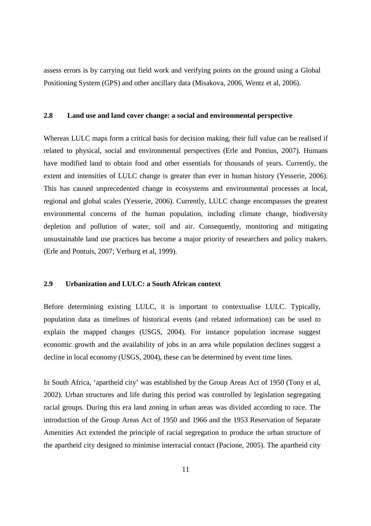assess errors is by carrying out field work and verifying points on the ground using a Global Positioning System (GPS) and other ancillary data (Misakova, 2006, Wentz et al, 2006).

#### **2.8 Land use and land cover change: a social and environmental perspective**

Whereas LULC maps form a critical basis for decision making, their full value can be realised if related to physical, social and environmental perspectives (Erle and Pontius, 2007). Humans have modified land to obtain food and other essentials for thousands of years. Currently, the extent and intensities of LULC change is greater than ever in human history (Yesserie, 2006). This has caused unprecedented change in ecosystems and environmental processes at local, regional and global scales (Yesserie, 2006). Currently, LULC change encompasses the greatest environmental concerns of the human population, including climate change, biodiversity depletion and pollution of water, soil and air. Consequently, monitoring and mitigating unsustainable land use practices has become a major priority of researchers and policy makers. (Erle and Pontuis, 2007; Verburg et al, 1999).

#### **2.9 Urbanization and LULC: a South African context**

Before determining existing LULC, it is important to contextualise LULC. Typically, population data as timelines of historical events (and related information) can be used to explain the mapped changes (USGS, 2004). For instance population increase suggest economic growth and the availability of jobs in an area while population declines suggest a decline in local economy (USGS, 2004), these can be determined by event time lines.

In South Africa, 'apartheid city' was established by the Group Areas Act of 1950 (Tony et al, 2002). Urban structures and life during this period was controlled by legislation segregating racial groups. During this era land zoning in urban areas was divided according to race. The introduction of the Group Areas Act of 1950 and 1966 and the 1953 Reservation of Separate Amenities Act extended the principle of racial segregation to produce the urban structure of the apartheid city designed to minimise interracial contact (Pacione, 2005). The apartheid city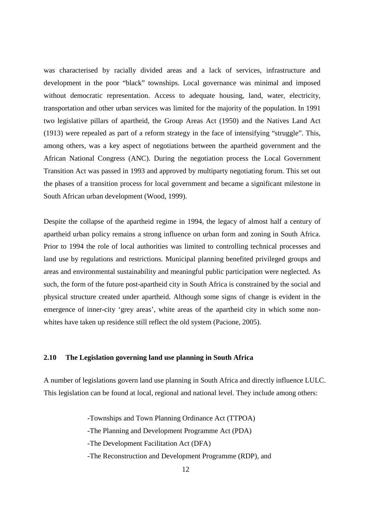was characterised by racially divided areas and a lack of services, infrastructure and development in the poor "black" townships. Local governance was minimal and imposed without democratic representation. Access to adequate housing, land, water, electricity, transportation and other urban services was limited for the majority of the population. In 1991 two legislative pillars of apartheid, the Group Areas Act (1950) and the Natives Land Act (1913) were repealed as part of a reform strategy in the face of intensifying "struggle". This, among others, was a key aspect of negotiations between the apartheid government and the African National Congress (ANC). During the negotiation process the Local Government Transition Act was passed in 1993 and approved by multiparty negotiating forum. This set out the phases of a transition process for local government and became a significant milestone in South African urban development (Wood, 1999).

Despite the collapse of the apartheid regime in 1994, the legacy of almost half a century of apartheid urban policy remains a strong influence on urban form and zoning in South Africa. Prior to 1994 the role of local authorities was limited to controlling technical processes and land use by regulations and restrictions. Municipal planning benefited privileged groups and areas and environmental sustainability and meaningful public participation were neglected. As such, the form of the future post-apartheid city in South Africa is constrained by the social and physical structure created under apartheid. Although some signs of change is evident in the emergence of inner-city 'grey areas', white areas of the apartheid city in which some nonwhites have taken up residence still reflect the old system (Pacione, 2005).

#### **2.10 The Legislation governing land use planning in South Africa**

A number of legislations govern land use planning in South Africa and directly influence LULC. This legislation can be found at local, regional and national level. They include among others:

> -Townships and Town Planning Ordinance Act (TTPOA) -The Planning and Development Programme Act (PDA) -The Development Facilitation Act (DFA) -The Reconstruction and Development Programme (RDP), and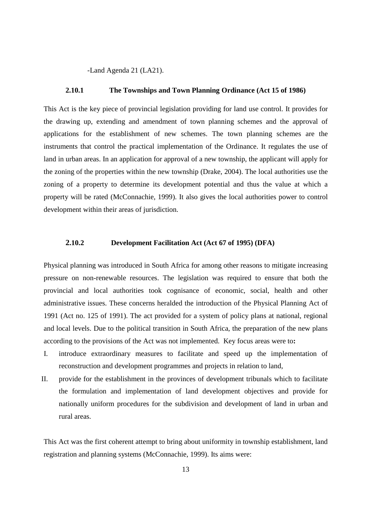-Land Agenda 21 (LA21).

#### **2.10.1 The Townships and Town Planning Ordinance (Act 15 of 1986)**

This Act is the key piece of provincial legislation providing for land use control. It provides for the drawing up, extending and amendment of town planning schemes and the approval of applications for the establishment of new schemes. The town planning schemes are the instruments that control the practical implementation of the Ordinance. It regulates the use of land in urban areas. In an application for approval of a new township, the applicant will apply for the zoning of the properties within the new township (Drake, 2004). The local authorities use the zoning of a property to determine its development potential and thus the value at which a property will be rated (McConnachie, 1999). It also gives the local authorities power to control development within their areas of jurisdiction.

#### **2.10.2 Development Facilitation Act (Act 67 of 1995) (DFA)**

Physical planning was introduced in South Africa for among other reasons to mitigate increasing pressure on non-renewable resources. The legislation was required to ensure that both the provincial and local authorities took cognisance of economic, social, health and other administrative issues. These concerns heralded the introduction of the Physical Planning Act of 1991 (Act no. 125 of 1991). The act provided for a system of policy plans at national, regional and local levels. Due to the political transition in South Africa, the preparation of the new plans according to the provisions of the Act was not implemented. Key focus areas were to**:** 

- I. introduce extraordinary measures to facilitate and speed up the implementation of reconstruction and development programmes and projects in relation to land,
- II. provide for the establishment in the provinces of development tribunals which to facilitate the formulation and implementation of land development objectives and provide for nationally uniform procedures for the subdivision and development of land in urban and rural areas.

This Act was the first coherent attempt to bring about uniformity in township establishment, land registration and planning systems (McConnachie, 1999). Its aims were: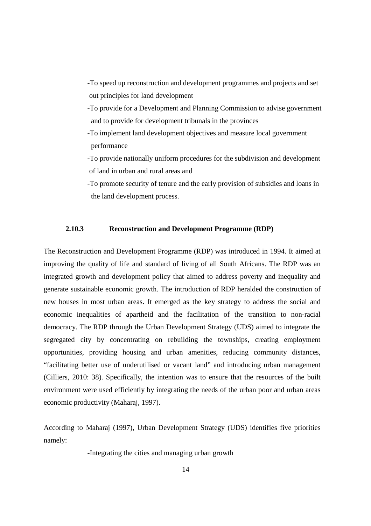- -To speed up reconstruction and development programmes and projects and set out principles for land development
- -To provide for a Development and Planning Commission to advise government and to provide for development tribunals in the provinces
- -To implement land development objectives and measure local government performance
- -To provide nationally uniform procedures for the subdivision and development of land in urban and rural areas and
- -To promote security of tenure and the early provision of subsidies and loans in the land development process.

#### **2.10.3 Reconstruction and Development Programme (RDP)**

The Reconstruction and Development Programme (RDP) was introduced in 1994. It aimed at improving the quality of life and standard of living of all South Africans. The RDP was an integrated growth and development policy that aimed to address poverty and inequality and generate sustainable economic growth. The introduction of RDP heralded the construction of new houses in most urban areas. It emerged as the key strategy to address the social and economic inequalities of apartheid and the facilitation of the transition to non-racial democracy. The RDP through the Urban Development Strategy (UDS) aimed to integrate the segregated city by concentrating on rebuilding the townships, creating employment opportunities, providing housing and urban amenities, reducing community distances, "facilitating better use of underutilised or vacant land" and introducing urban management (Cilliers, 2010: 38). Specifically, the intention was to ensure that the resources of the built environment were used efficiently by integrating the needs of the urban poor and urban areas economic productivity (Maharaj, 1997).

According to Maharaj (1997), Urban Development Strategy (UDS) identifies five priorities namely:

-Integrating the cities and managing urban growth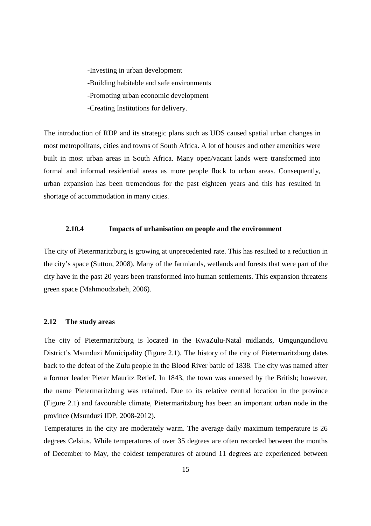-Investing in urban development -Building habitable and safe environments -Promoting urban economic development -Creating Institutions for delivery.

The introduction of RDP and its strategic plans such as UDS caused spatial urban changes in most metropolitans, cities and towns of South Africa. A lot of houses and other amenities were built in most urban areas in South Africa. Many open/vacant lands were transformed into formal and informal residential areas as more people flock to urban areas. Consequently, urban expansion has been tremendous for the past eighteen years and this has resulted in shortage of accommodation in many cities.

#### **2.10.4 Impacts of urbanisation on people and the environment**

The city of Pietermaritzburg is growing at unprecedented rate. This has resulted to a reduction in the city's space (Sutton, 2008). Many of the farmlands, wetlands and forests that were part of the city have in the past 20 years been transformed into human settlements. This expansion threatens green space (Mahmoodzabeh, 2006).

#### **2.12 The study areas**

The city of Pietermaritzburg is located in the KwaZulu-Natal midlands, Umgungundlovu District's Msunduzi Municipality (Figure 2.1). The history of the city of Pietermaritzburg dates back to the defeat of the Zulu people in the Blood River battle of 1838. The city was named after a former leader Pieter Mauritz Retief. In 1843, the town was annexed by the British; however, the name Pietermaritzburg was retained. Due to its relative central location in the province (Figure 2.1) and favourable climate, Pietermaritzburg has been an important urban node in the province (Msunduzi IDP, 2008-2012).

Temperatures in the city are moderately warm. The average daily maximum temperature is 26 degrees Celsius. While temperatures of over 35 degrees are often recorded between the months of December to May, the coldest temperatures of around 11 degrees are experienced between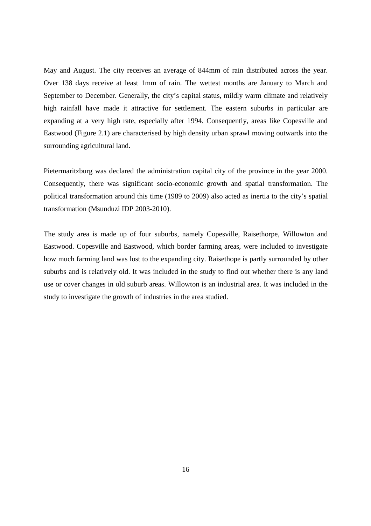May and August. The city receives an average of 844mm of rain distributed across the year. Over 138 days receive at least 1mm of rain. The wettest months are January to March and September to December. Generally, the city's capital status, mildly warm climate and relatively high rainfall have made it attractive for settlement. The eastern suburbs in particular are expanding at a very high rate, especially after 1994. Consequently, areas like Copesville and Eastwood (Figure 2.1) are characterised by high density urban sprawl moving outwards into the surrounding agricultural land.

Pietermaritzburg was declared the administration capital city of the province in the year 2000. Consequently, there was significant socio-economic growth and spatial transformation. The political transformation around this time (1989 to 2009) also acted as inertia to the city's spatial transformation (Msunduzi IDP 2003-2010).

The study area is made up of four suburbs, namely Copesville, Raisethorpe, Willowton and Eastwood. Copesville and Eastwood, which border farming areas, were included to investigate how much farming land was lost to the expanding city. Raisethope is partly surrounded by other suburbs and is relatively old. It was included in the study to find out whether there is any land use or cover changes in old suburb areas. Willowton is an industrial area. It was included in the study to investigate the growth of industries in the area studied.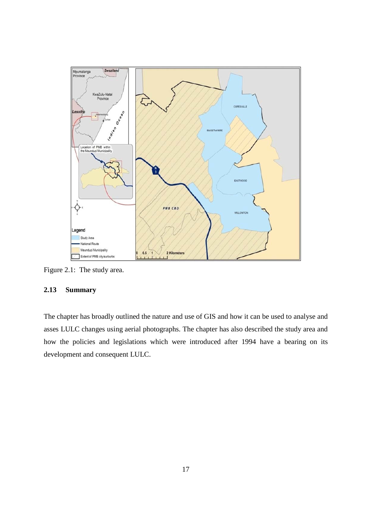

Figure 2.1: The study area.

### **2.13 Summary**

The chapter has broadly outlined the nature and use of GIS and how it can be used to analyse and asses LULC changes using aerial photographs. The chapter has also described the study area and how the policies and legislations which were introduced after 1994 have a bearing on its development and consequent LULC.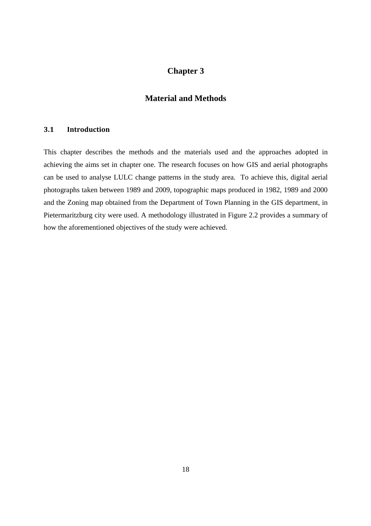### **Chapter 3**

### **Material and Methods**

### **3.1 Introduction**

This chapter describes the methods and the materials used and the approaches adopted in achieving the aims set in chapter one. The research focuses on how GIS and aerial photographs can be used to analyse LULC change patterns in the study area. To achieve this, digital aerial photographs taken between 1989 and 2009, topographic maps produced in 1982, 1989 and 2000 and the Zoning map obtained from the Department of Town Planning in the GIS department, in Pietermaritzburg city were used. A methodology illustrated in Figure 2.2 provides a summary of how the aforementioned objectives of the study were achieved.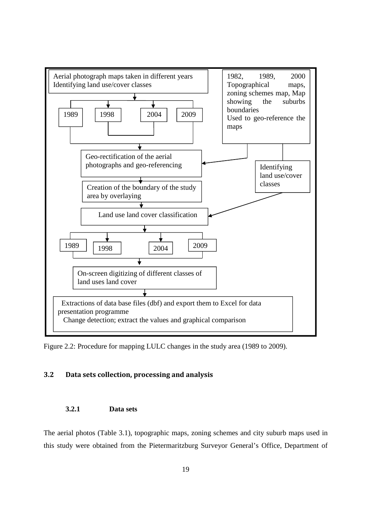

Figure 2.2: Procedure for mapping LULC changes in the study area (1989 to 2009).

### **3.2 Data sets collection, processing and analysis**

#### **3.2.1 Data sets**

The aerial photos (Table 3.1), topographic maps, zoning schemes and city suburb maps used in this study were obtained from the Pietermaritzburg Surveyor General's Office, Department of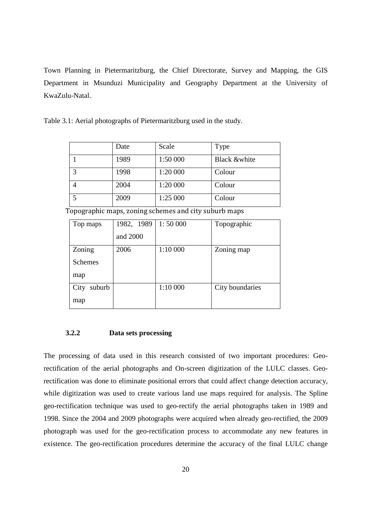Town Planning in Pietermaritzburg, the Chief Directorate, Survey and Mapping, the GIS Department in Msunduzi Municipality and Geography Department at the University of KwaZulu-Natal.

Table 3.1: Aerial photographs of Pietermaritzburg used in the study.

|   | Date | Scale    | Type                    |
|---|------|----------|-------------------------|
|   | 1989 | 1:50 000 | <b>Black &amp;white</b> |
| 3 | 1998 | 1:20 000 | Colour                  |
|   | 2004 | 1:20 000 | Colour                  |
| 5 | 2009 | 1:25 000 | Colour                  |

Topographic maps, zoning schemes and city suburb maps

| Top maps       | 1982, 1989 | 1:50000  | Topographic     |
|----------------|------------|----------|-----------------|
|                | and 2000   |          |                 |
| Zoning         | 2006       | 1:10 000 | Zoning map      |
| <b>Schemes</b> |            |          |                 |
| map            |            |          |                 |
| suburb<br>City |            | 1:10 000 | City boundaries |
| map            |            |          |                 |

#### **3.2.2 Data sets processing**

The processing of data used in this research consisted of two important procedures: Georectification of the aerial photographs and On-screen digitization of the LULC classes. Georectification was done to eliminate positional errors that could affect change detection accuracy, while digitization was used to create various land use maps required for analysis. The Spline geo-rectification technique was used to geo-rectify the aerial photographs taken in 1989 and 1998. Since the 2004 and 2009 photographs were acquired when already geo-rectified, the 2009 photograph was used for the geo-rectification process to accommodate any new features in existence. The geo-rectification procedures determine the accuracy of the final LULC change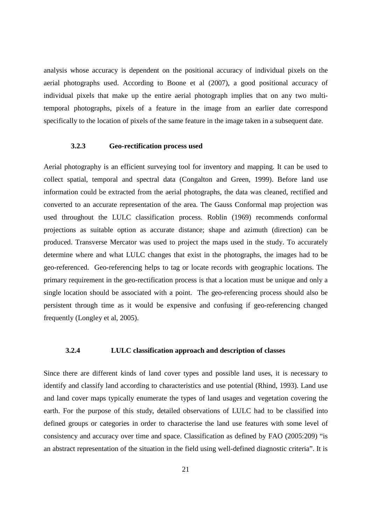analysis whose accuracy is dependent on the positional accuracy of individual pixels on the aerial photographs used. According to Boone et al (2007), a good positional accuracy of individual pixels that make up the entire aerial photograph implies that on any two multitemporal photographs, pixels of a feature in the image from an earlier date correspond specifically to the location of pixels of the same feature in the image taken in a subsequent date.

#### **3.2.3 Geo-rectification process used**

Aerial photography is an efficient surveying tool for inventory and mapping. It can be used to collect spatial, temporal and spectral data (Congalton and Green, 1999). Before land use information could be extracted from the aerial photographs, the data was cleaned, rectified and converted to an accurate representation of the area. The Gauss Conformal map projection was used throughout the LULC classification process. Roblin (1969) recommends conformal projections as suitable option as accurate distance; shape and azimuth (direction) can be produced. Transverse Mercator was used to project the maps used in the study. To accurately determine where and what LULC changes that exist in the photographs, the images had to be geo-referenced. Geo-referencing helps to tag or locate records with geographic locations. The primary requirement in the geo-rectification process is that a location must be unique and only a single location should be associated with a point. The geo-referencing process should also be persistent through time as it would be expensive and confusing if geo-referencing changed frequently (Longley et al, 2005).

#### **3.2.4 LULC classification approach and description of classes**

Since there are different kinds of land cover types and possible land uses, it is necessary to identify and classify land according to characteristics and use potential (Rhind, 1993). Land use and land cover maps typically enumerate the types of land usages and vegetation covering the earth. For the purpose of this study, detailed observations of LULC had to be classified into defined groups or categories in order to characterise the land use features with some level of consistency and accuracy over time and space. Classification as defined by FAO (2005:209) "is an abstract representation of the situation in the field using well-defined diagnostic criteria". It is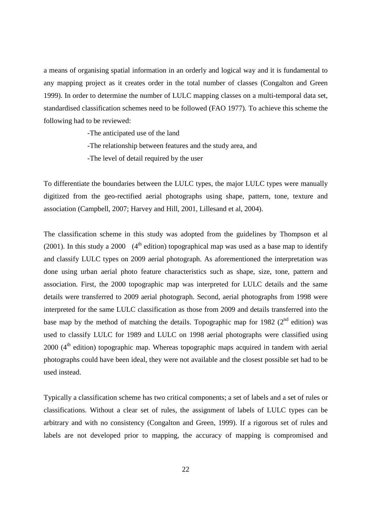a means of organising spatial information in an orderly and logical way and it is fundamental to any mapping project as it creates order in the total number of classes (Congalton and Green 1999). In order to determine the number of LULC mapping classes on a multi-temporal data set, standardised classification schemes need to be followed (FAO 1977). To achieve this scheme the following had to be reviewed:

-The anticipated use of the land

- -The relationship between features and the study area, and
- -The level of detail required by the user

To differentiate the boundaries between the LULC types, the major LULC types were manually digitized from the geo-rectified aerial photographs using shape, pattern, tone, texture and association (Campbell, 2007; Harvey and Hill, 2001, Lillesand et al, 2004).

The classification scheme in this study was adopted from the guidelines by Thompson et al (2001). In this study a 2000 (4<sup>th</sup> edition) topographical map was used as a base map to identify and classify LULC types on 2009 aerial photograph. As aforementioned the interpretation was done using urban aerial photo feature characteristics such as shape, size, tone, pattern and association. First, the 2000 topographic map was interpreted for LULC details and the same details were transferred to 2009 aerial photograph. Second, aerial photographs from 1998 were interpreted for the same LULC classification as those from 2009 and details transferred into the base map by the method of matching the details. Topographic map for 1982 ( $2<sup>nd</sup>$  edition) was used to classify LULC for 1989 and LULC on 1998 aerial photographs were classified using  $2000$  ( $4<sup>th</sup>$  edition) topographic map. Whereas topographic maps acquired in tandem with aerial photographs could have been ideal, they were not available and the closest possible set had to be used instead.

Typically a classification scheme has two critical components; a set of labels and a set of rules or classifications. Without a clear set of rules, the assignment of labels of LULC types can be arbitrary and with no consistency (Congalton and Green, 1999). If a rigorous set of rules and labels are not developed prior to mapping, the accuracy of mapping is compromised and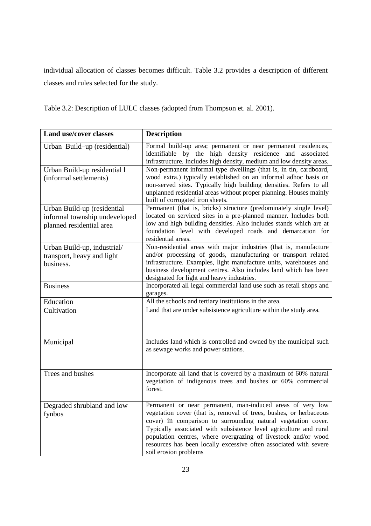individual allocation of classes becomes difficult. Table 3.2 provides a description of different classes and rules selected for the study.

|  |  | Table 3.2: Description of LULC classes (adopted from Thompson et. al. 2001). |
|--|--|------------------------------------------------------------------------------|
|--|--|------------------------------------------------------------------------------|

| <b>Land use/cover classes</b>                                                            | <b>Description</b>                                                                                                                                                                                                                                                                                                                                                                                                                     |
|------------------------------------------------------------------------------------------|----------------------------------------------------------------------------------------------------------------------------------------------------------------------------------------------------------------------------------------------------------------------------------------------------------------------------------------------------------------------------------------------------------------------------------------|
| Urban Build-up (residential)                                                             | Formal build-up area; permanent or near permanent residences,<br>identifiable by the high density residence and associated<br>infrastructure. Includes high density, medium and low density areas.                                                                                                                                                                                                                                     |
| Urban Build-up residential 1<br>(informal settlements)                                   | Non-permanent informal type dwellings (that is, in tin, cardboard,<br>wood extra.) typically established on an informal adhoc basis on<br>non-served sites. Typically high building densities. Refers to all<br>unplanned residential areas without proper planning. Houses mainly<br>built of corrugated iron sheets.                                                                                                                 |
| Urban Build-up (residential<br>informal township undeveloped<br>planned residential area | Permanent (that is, bricks) structure (predominately single level)<br>located on serviced sites in a pre-planned manner. Includes both<br>low and high building densities. Also includes stands which are at<br>foundation level with developed roads and demarcation for<br>residential areas.                                                                                                                                        |
| Urban Build-up, industrial/<br>transport, heavy and light<br>business.                   | Non-residential areas with major industries (that is, manufacture<br>and/or processing of goods, manufacturing or transport related<br>infrastructure. Examples, light manufacture units, warehouses and<br>business development centres. Also includes land which has been<br>designated for light and heavy industries.                                                                                                              |
| <b>Business</b>                                                                          | Incorporated all legal commercial land use such as retail shops and<br>garages.                                                                                                                                                                                                                                                                                                                                                        |
| Education                                                                                | All the schools and tertiary institutions in the area.                                                                                                                                                                                                                                                                                                                                                                                 |
| Cultivation                                                                              | Land that are under subsistence agriculture within the study area.                                                                                                                                                                                                                                                                                                                                                                     |
| Municipal                                                                                | Includes land which is controlled and owned by the municipal such<br>as sewage works and power stations.                                                                                                                                                                                                                                                                                                                               |
| Trees and bushes                                                                         | Incorporate all land that is covered by a maximum of 60% natural<br>vegetation of indigenous trees and bushes or 60% commercial<br>forest.                                                                                                                                                                                                                                                                                             |
| Degraded shrubland and low<br>fynbos                                                     | Permanent or near permanent, man-induced areas of very low<br>vegetation cover (that is, removal of trees, bushes, or herbaceous<br>cover) in comparison to surrounding natural vegetation cover.<br>Typically associated with subsistence level agriculture and rural<br>population centres, where overgrazing of livestock and/or wood<br>resources has been locally excessive often associated with severe<br>soil erosion problems |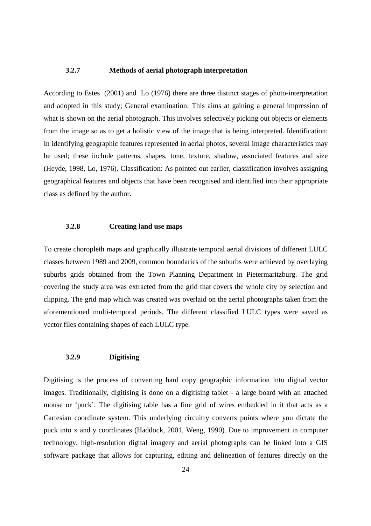#### **3.2.7 Methods of aerial photograph interpretation**

According to Estes (2001) and Lo (1976) there are three distinct stages of photo-interpretation and adopted in this study; General examination: This aims at gaining a general impression of what is shown on the aerial photograph. This involves selectively picking out objects or elements from the image so as to get a holistic view of the image that is being interpreted. Identification: In identifying geographic features represented in aerial photos, several image characteristics may be used; these include patterns, shapes, tone, texture, shadow, associated features and size (Heyde, 1998, Lo, 1976). Classification: As pointed out earlier, classification involves assigning geographical features and objects that have been recognised and identified into their appropriate class as defined by the author.

#### **3.2.8 Creating land use maps**

To create choropleth maps and graphically illustrate temporal aerial divisions of different LULC classes between 1989 and 2009, common boundaries of the suburbs were achieved by overlaying suburbs grids obtained from the Town Planning Department in Pietermaritzburg. The grid covering the study area was extracted from the grid that covers the whole city by selection and clipping. The grid map which was created was overlaid on the aerial photographs taken from the aforementioned multi-temporal periods. The different classified LULC types were saved as vector files containing shapes of each LULC type.

#### **3.2.9 Digitising**

Digitising is the process of converting hard copy geographic information into digital vector images. Traditionally, digitising is done on a digitising tablet - a large board with an attached mouse or 'puck'. The digitising table has a fine grid of wires embedded in it that acts as a Cartesian coordinate system. This underlying circuitry converts points where you dictate the puck into x and y coordinates (Haddock, 2001, Weng, 1990). Due to improvement in computer technology, high-resolution digital imagery and aerial photographs can be linked into a GIS software package that allows for capturing, editing and delineation of features directly on the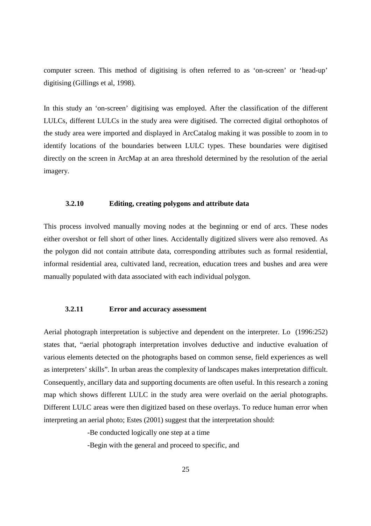computer screen. This method of digitising is often referred to as 'on-screen' or 'head-up' digitising (Gillings et al, 1998).

In this study an 'on-screen' digitising was employed. After the classification of the different LULCs, different LULCs in the study area were digitised. The corrected digital orthophotos of the study area were imported and displayed in ArcCatalog making it was possible to zoom in to identify locations of the boundaries between LULC types. These boundaries were digitised directly on the screen in ArcMap at an area threshold determined by the resolution of the aerial imagery.

#### **3.2.10 Editing, creating polygons and attribute data**

This process involved manually moving nodes at the beginning or end of arcs. These nodes either overshot or fell short of other lines. Accidentally digitized slivers were also removed. As the polygon did not contain attribute data, corresponding attributes such as formal residential, informal residential area, cultivated land, recreation, education trees and bushes and area were manually populated with data associated with each individual polygon.

#### **3.2.11 Error and accuracy assessment**

Aerial photograph interpretation is subjective and dependent on the interpreter. Lo (1996:252) states that, "aerial photograph interpretation involves deductive and inductive evaluation of various elements detected on the photographs based on common sense, field experiences as well as interpreters' skills". In urban areas the complexity of landscapes makes interpretation difficult. Consequently, ancillary data and supporting documents are often useful. In this research a zoning map which shows different LULC in the study area were overlaid on the aerial photographs. Different LULC areas were then digitized based on these overlays. To reduce human error when interpreting an aerial photo; Estes (2001) suggest that the interpretation should:

-Be conducted logically one step at a time

-Begin with the general and proceed to specific, and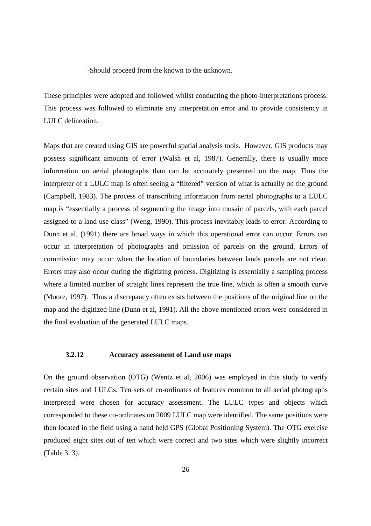-Should proceed from the known to the unknown.

These principles were adopted and followed whilst conducting the photo-interpretations process. This process was followed to eliminate any interpretation error and to provide consistency in LULC delineation.

Maps that are created using GIS are powerful spatial analysis tools. However, GIS products may possess significant amounts of error (Walsh et al, 1987). Generally, there is usually more information on aerial photographs than can be accurately presented on the map. Thus the interpreter of a LULC map is often seeing a "filtered" version of what is actually on the ground (Campbell, 1983). The process of transcribing information from aerial photographs to a LULC map is "essentially a process of segmenting the image into mosaic of parcels, with each parcel assigned to a land use class" (Weng, 1990). This process inevitably leads to error. According to Dunn et al, (1991) there are broad ways in which this operational error can occur. Errors can occur in interpretation of photographs and omission of parcels on the ground. Errors of commission may occur when the location of boundaries between lands parcels are not clear. Errors may also occur during the digitizing process. Digitizing is essentially a sampling process where a limited number of straight lines represent the true line, which is often a smooth curve (Moore, 1997). Thus a discrepancy often exists between the positions of the original line on the map and the digitized line (Dunn et al, 1991). All the above mentioned errors were considered in the final evaluation of the generated LULC maps.

#### **3.2.12 Accuracy assessment of Land use maps**

On the ground observation (OTG) (Wentz et al, 2006) was employed in this study to verify certain sites and LULCs. Ten sets of co-ordinates of features common to all aerial photographs interpreted were chosen for accuracy assessment. The LULC types and objects which corresponded to these co-ordinates on 2009 LULC map were identified. The same positions were then located in the field using a hand held GPS (Global Positioning System). The OTG exercise produced eight sites out of ten which were correct and two sites which were slightly incorrect (Table 3. 3).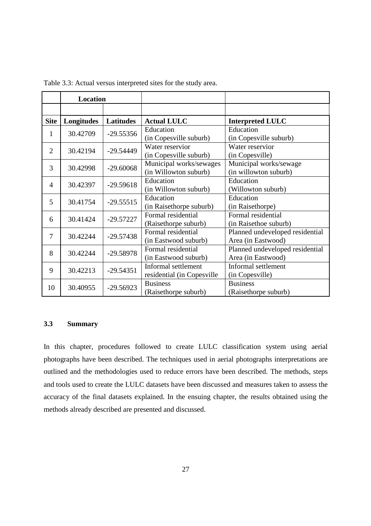| Location       |            |                  |                                                   |                                                       |
|----------------|------------|------------------|---------------------------------------------------|-------------------------------------------------------|
|                |            |                  |                                                   |                                                       |
| <b>Site</b>    | Longitudes | <b>Latitudes</b> | <b>Actual LULC</b>                                | <b>Interpreted LULC</b>                               |
| 1              | 30.42709   | $-29.55356$      | Education<br>(in Copesville suburb)               | Education<br>(in Copesville suburb)                   |
| $\overline{2}$ | 30.42194   | $-29.54449$      | Water reservior<br>(in Copesville suburb)         | Water reservior<br>(in Copesville)                    |
| 3              | 30.42998   | $-29.60068$      | Municipal works/sewages<br>(in Willowton suburb)  | Municipal works/sewage<br>(in willowton suburb)       |
| 4              | 30.42397   | $-29.59618$      | Education<br>(in Willowton suburb)                | Education<br>(Willowton suburb)                       |
| 5              | 30.41754   | $-29.55515$      | Education<br>(in Raisethorpe suburb)              | Education<br>(in Raisethorpe)                         |
| 6              | 30.41424   | $-29.57227$      | Formal residential<br>(Raisethorpe suburb)        | Formal residential<br>(in Raisethoe suburb)           |
| $\tau$         | 30.42244   | $-29.57438$      | Formal residential<br>(in Eastwood suburb)        | Planned undeveloped residential<br>Area (in Eastwood) |
| 8              | 30.42244   | $-29.58978$      | Formal residential<br>(in Eastwood suburb)        | Planned undeveloped residential<br>Area (in Eastwood) |
| 9              | 30.42213   | $-29.54351$      | Informal settlement<br>residential (in Copesville | Informal settlement<br>(in Copesville)                |
| 10             | 30.40955   | $-29.56923$      | <b>Business</b><br>(Raisethorpe suburb)           | <b>Business</b><br>(Raisethorpe suburb)               |

Table 3.3: Actual versus interpreted sites for the study area.

#### **3.3 Summary**

In this chapter, procedures followed to create LULC classification system using aerial photographs have been described. The techniques used in aerial photographs interpretations are outlined and the methodologies used to reduce errors have been described. The methods, steps and tools used to create the LULC datasets have been discussed and measures taken to assess the accuracy of the final datasets explained. In the ensuing chapter, the results obtained using the methods already described are presented and discussed.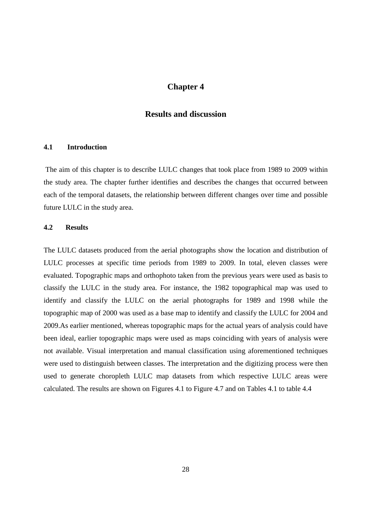### **Chapter 4**

### **Results and discussion**

#### **4.1 Introduction**

 The aim of this chapter is to describe LULC changes that took place from 1989 to 2009 within the study area. The chapter further identifies and describes the changes that occurred between each of the temporal datasets, the relationship between different changes over time and possible future LULC in the study area.

#### **4.2 Results**

The LULC datasets produced from the aerial photographs show the location and distribution of LULC processes at specific time periods from 1989 to 2009. In total, eleven classes were evaluated. Topographic maps and orthophoto taken from the previous years were used as basis to classify the LULC in the study area. For instance, the 1982 topographical map was used to identify and classify the LULC on the aerial photographs for 1989 and 1998 while the topographic map of 2000 was used as a base map to identify and classify the LULC for 2004 and 2009.As earlier mentioned, whereas topographic maps for the actual years of analysis could have been ideal, earlier topographic maps were used as maps coinciding with years of analysis were not available. Visual interpretation and manual classification using aforementioned techniques were used to distinguish between classes. The interpretation and the digitizing process were then used to generate choropleth LULC map datasets from which respective LULC areas were calculated. The results are shown on Figures 4.1 to Figure 4.7 and on Tables 4.1 to table 4.4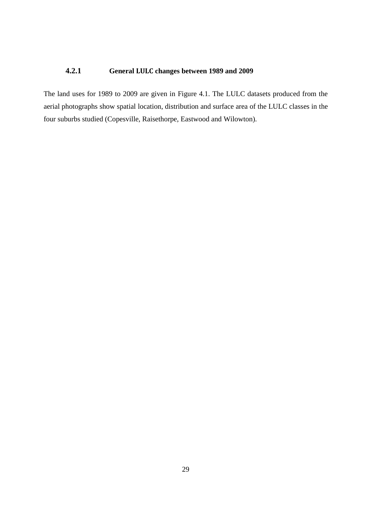### **4.2.1 General LULC changes between 1989 and 2009**

The land uses for 1989 to 2009 are given in Figure 4.1. The LULC datasets produced from the aerial photographs show spatial location, distribution and surface area of the LULC classes in the four suburbs studied (Copesville, Raisethorpe, Eastwood and Wilowton).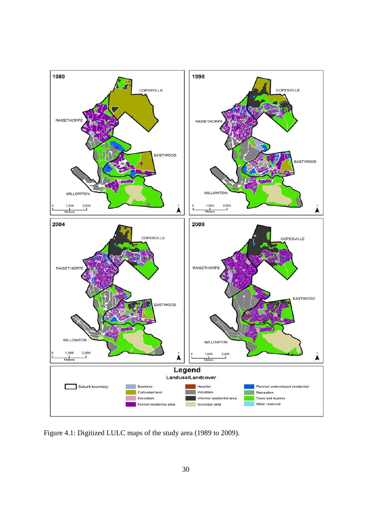

Figure 4.1: Digitized LULC maps of the study area (1989 to 2009).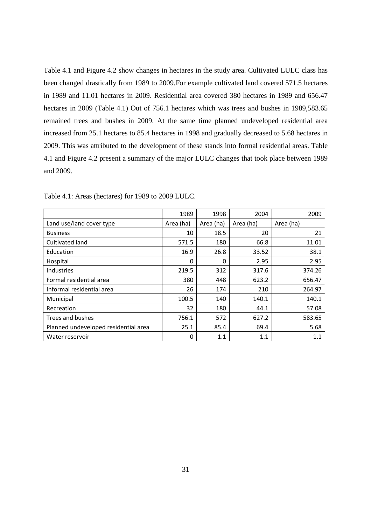Table 4.1 and Figure 4.2 show changes in hectares in the study area. Cultivated LULC class has been changed drastically from 1989 to 2009.For example cultivated land covered 571.5 hectares in 1989 and 11.01 hectares in 2009. Residential area covered 380 hectares in 1989 and 656.47 hectares in 2009 (Table 4.1) Out of 756.1 hectares which was trees and bushes in 1989,583.65 remained trees and bushes in 2009. At the same time planned undeveloped residential area increased from 25.1 hectares to 85.4 hectares in 1998 and gradually decreased to 5.68 hectares in 2009. This was attributed to the development of these stands into formal residential areas. Table 4.1 and Figure 4.2 present a summary of the major LULC changes that took place between 1989 and 2009.

|                                      | 1989      | 1998      | 2004      | 2009      |
|--------------------------------------|-----------|-----------|-----------|-----------|
| Land use/land cover type             | Area (ha) | Area (ha) | Area (ha) | Area (ha) |
| <b>Business</b>                      | 10        | 18.5      | 20        | 21        |
| Cultivated land                      | 571.5     | 180       | 66.8      | 11.01     |
| Education                            | 16.9      | 26.8      | 33.52     | 38.1      |
| Hospital                             | 0         | 0         | 2.95      | 2.95      |
| <b>Industries</b>                    | 219.5     | 312       | 317.6     | 374.26    |
| Formal residential area              | 380       | 448       | 623.2     | 656.47    |
| Informal residential area            | 26        | 174       | 210       | 264.97    |
| Municipal                            | 100.5     | 140       | 140.1     | 140.1     |
| Recreation                           | 32        | 180       | 44.1      | 57.08     |
| Trees and bushes                     | 756.1     | 572       | 627.2     | 583.65    |
| Planned undeveloped residential area | 25.1      | 85.4      | 69.4      | 5.68      |
| Water reservoir                      | 0         | 1.1       | 1.1       | 1.1       |

Table 4.1: Areas (hectares) for 1989 to 2009 LULC.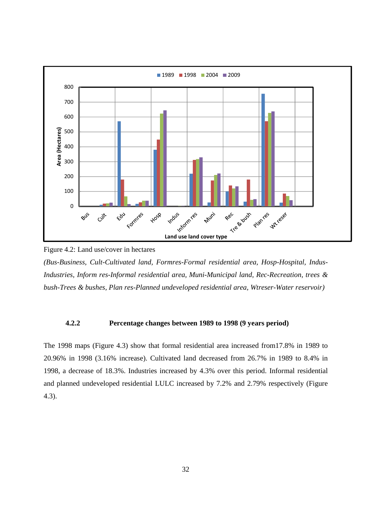

Figure 4.2: Land use/cover in hectares

*(Bus-Business, Cult-Cultivated land, Formres-Formal residential area, Hosp-Hospital, Indus-Industries, Inform res-Informal residential area, Muni-Municipal land, Rec-Recreation, trees & bush-Trees & bushes, Plan res-Planned undeveloped residential area, Wtreser-Water reservoir)* 

#### **4.2.2 Percentage changes between 1989 to 1998 (9 years period)**

The 1998 maps (Figure 4.3) show that formal residential area increased from17.8% in 1989 to 20.96% in 1998 (3.16% increase). Cultivated land decreased from 26.7% in 1989 to 8.4% in 1998, a decrease of 18.3%. Industries increased by 4.3% over this period. Informal residential and planned undeveloped residential LULC increased by 7.2% and 2.79% respectively (Figure 4.3).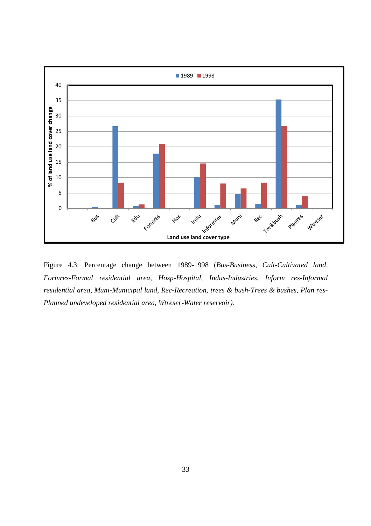

Figure 4.3: Percentage change between 1989-1998 (*Bus-Business, Cult-Cultivated land, Formres-Formal residential area, Hosp-Hospital, Indus-Industries, Inform res-Informal residential area, Muni-Municipal land, Rec-Recreation, trees & bush-Trees & bushes, Plan res-Planned undeveloped residential area, Wtreser-Water reservoir).*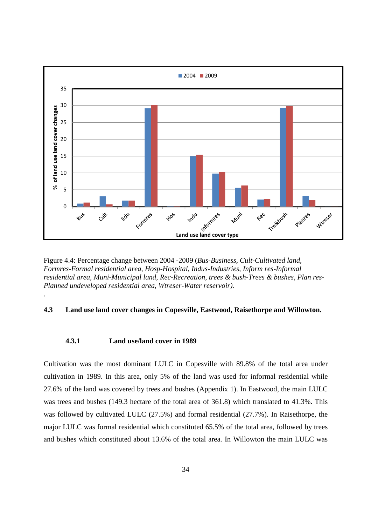

Figure 4.4: Percentage change between 2004 -2009 (*Bus-Business, Cult-Cultivated land, Formres-Formal residential area, Hosp-Hospital, Indus-Industries, Inform res-Informal residential area, Muni-Municipal land, Rec-Recreation, trees & bush-Trees & bushes, Plan res-Planned undeveloped residential area, Wtreser-Water reservoir).* 

#### **4.3 Land use land cover changes in Copesville, Eastwood, Raisethorpe and Willowton.**

#### **4.3.1 Land use/land cover in 1989**

.

Cultivation was the most dominant LULC in Copesville with 89.8% of the total area under cultivation in 1989. In this area, only 5% of the land was used for informal residential while 27.6% of the land was covered by trees and bushes (Appendix 1). In Eastwood, the main LULC was trees and bushes (149.3 hectare of the total area of 361.8) which translated to 41.3%. This was followed by cultivated LULC (27.5%) and formal residential (27.7%). In Raisethorpe, the major LULC was formal residential which constituted 65.5% of the total area, followed by trees and bushes which constituted about 13.6% of the total area. In Willowton the main LULC was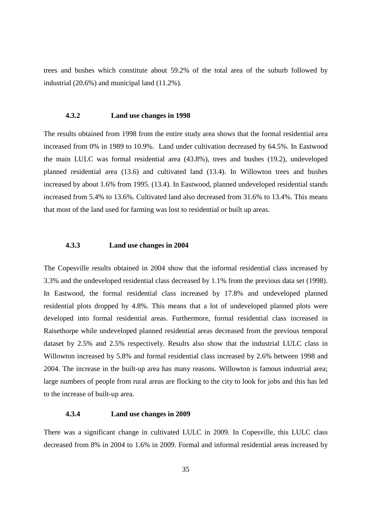trees and bushes which constitute about 59.2% of the total area of the suburb followed by industrial (20.6%) and municipal land (11.2%).

#### **4.3.2 Land use changes in 1998**

The results obtained from 1998 from the entire study area shows that the formal residential area increased from 0% in 1989 to 10.9%. Land under cultivation decreased by 64.5%. In Eastwood the main LULC was formal residential area (43.8%), trees and bushes (19.2), undeveloped planned residential area (13.6) and cultivated land (13.4). In Willowton trees and bushes increased by about 1.6% from 1995. (13.4). In Eastwood, planned undeveloped residential stands increased from 5.4% to 13.6%. Cultivated land also decreased from 31.6% to 13.4%. This means that most of the land used for farming was lost to residential or built up areas.

#### **4.3.3 Land use changes in 2004**

The Copesville results obtained in 2004 show that the informal residential class increased by 3.3% and the undeveloped residential class decreased by 1.1% from the previous data set (1998). In Eastwood, the formal residential class increased by 17.8% and undeveloped planned residential plots dropped by 4.8%. This means that a lot of undeveloped planned plots were developed into formal residential areas. Furthermore, formal residential class increased in Raisethorpe while undeveloped planned residential areas decreased from the previous temporal dataset by 2.5% and 2.5% respectively. Results also show that the industrial LULC class in Willowton increased by 5.8% and formal residential class increased by 2.6% between 1998 and 2004. The increase in the built-up area has many reasons. Willowton is famous industrial area; large numbers of people from rural areas are flocking to the city to look for jobs and this has led to the increase of built-up area.

#### **4.3.4 Land use changes in 2009**

There was a significant change in cultivated LULC in 2009. In Copesville, this LULC class decreased from 8% in 2004 to 1.6% in 2009. Formal and informal residential areas increased by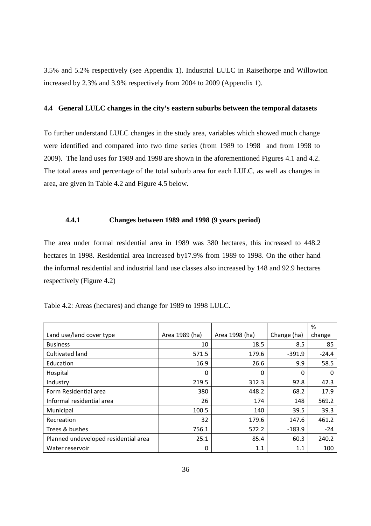3.5% and 5.2% respectively (see Appendix 1). Industrial LULC in Raisethorpe and Willowton increased by 2.3% and 3.9% respectively from 2004 to 2009 (Appendix 1).

#### **4.4 General LULC changes in the city's eastern suburbs between the temporal datasets**

To further understand LULC changes in the study area, variables which showed much change were identified and compared into two time series (from 1989 to 1998 and from 1998 to 2009). The land uses for 1989 and 1998 are shown in the aforementioned Figures 4.1 and 4.2. The total areas and percentage of the total suburb area for each LULC, as well as changes in area, are given in Table 4.2 and Figure 4.5 below**.**

#### **4.4.1 Changes between 1989 and 1998 (9 years period)**

The area under formal residential area in 1989 was 380 hectares, this increased to 448.2 hectares in 1998. Residential area increased by17.9% from 1989 to 1998. On the other hand the informal residential and industrial land use classes also increased by 148 and 92.9 hectares respectively (Figure 4.2)

| Table 4.2: Areas (hectares) and change for 1989 to 1998 LULC. |  |  |
|---------------------------------------------------------------|--|--|
|                                                               |  |  |

|                                      |                |                |             | %       |
|--------------------------------------|----------------|----------------|-------------|---------|
| Land use/land cover type             | Area 1989 (ha) | Area 1998 (ha) | Change (ha) | change  |
| <b>Business</b>                      | 10             | 18.5           | 8.5         | 85      |
| Cultivated land                      | 571.5          | 179.6          | $-391.9$    | $-24.4$ |
| Education                            | 16.9           | 26.6           | 9.9         | 58.5    |
| Hospital                             | 0              | 0              | 0           | 0       |
| Industry                             | 219.5          | 312.3          | 92.8        | 42.3    |
| Form Residential area                | 380            | 448.2          | 68.2        | 17.9    |
| Informal residential area            | 26             | 174            | 148         | 569.2   |
| Municipal                            | 100.5          | 140            | 39.5        | 39.3    |
| Recreation                           | 32             | 179.6          | 147.6       | 461.2   |
| Trees & bushes                       | 756.1          | 572.2          | $-183.9$    | $-24$   |
| Planned undeveloped residential area | 25.1           | 85.4           | 60.3        | 240.2   |
| Water reservoir                      | 0              | 1.1            | 1.1         | 100     |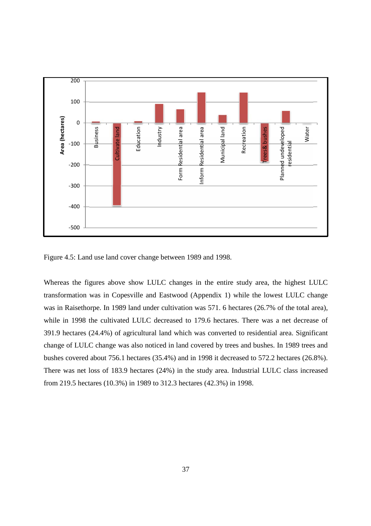

Figure 4.5: Land use land cover change between 1989 and 1998.

Whereas the figures above show LULC changes in the entire study area, the highest LULC transformation was in Copesville and Eastwood (Appendix 1) while the lowest LULC change was in Raisethorpe. In 1989 land under cultivation was 571. 6 hectares (26.7% of the total area), while in 1998 the cultivated LULC decreased to 179.6 hectares. There was a net decrease of 391.9 hectares (24.4%) of agricultural land which was converted to residential area. Significant change of LULC change was also noticed in land covered by trees and bushes. In 1989 trees and bushes covered about 756.1 hectares (35.4%) and in 1998 it decreased to 572.2 hectares (26.8%). There was net loss of 183.9 hectares (24%) in the study area. Industrial LULC class increased from 219.5 hectares (10.3%) in 1989 to 312.3 hectares (42.3%) in 1998.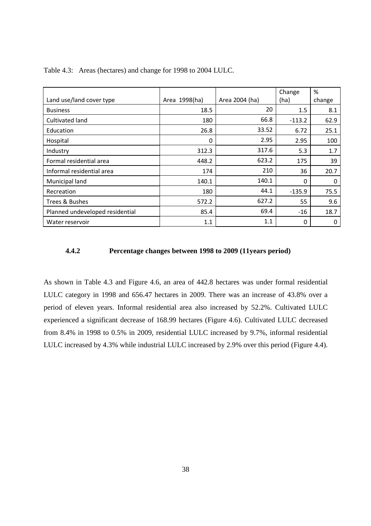|                                 |               |                | Change   | %      |
|---------------------------------|---------------|----------------|----------|--------|
| Land use/land cover type        | Area 1998(ha) | Area 2004 (ha) | (ha)     | change |
| <b>Business</b>                 | 18.5          | 20             | $1.5\,$  | 8.1    |
| Cultivated land                 | 180           | 66.8           | $-113.2$ | 62.9   |
| Education                       | 26.8          | 33.52          | 6.72     | 25.1   |
| Hospital                        | 0             | 2.95           | 2.95     | 100    |
| Industry                        | 312.3         | 317.6          | 5.3      | 1.7    |
| Formal residential area         | 448.2         | 623.2          | 175      | 39     |
| Informal residential area       | 174           | 210            | 36       | 20.7   |
| Municipal land                  | 140.1         | 140.1          | $\Omega$ | 0      |
| Recreation                      | 180           | 44.1           | $-135.9$ | 75.5   |
| Trees & Bushes                  | 572.2         | 627.2          | 55       | 9.6    |
| Planned undeveloped residential | 85.4          | 69.4           | $-16$    | 18.7   |
| Water reservoir                 | 1.1           | 1.1            | 0        | 0      |

Table 4.3: Areas (hectares) and change for 1998 to 2004 LULC.

#### **4.4.2 Percentage changes between 1998 to 2009 (11years period)**

As shown in Table 4.3 and Figure 4.6, an area of 442.8 hectares was under formal residential LULC category in 1998 and 656.47 hectares in 2009. There was an increase of 43.8% over a period of eleven years. Informal residential area also increased by 52.2%. Cultivated LULC experienced a significant decrease of 168.99 hectares (Figure 4.6). Cultivated LULC decreased from 8.4% in 1998 to 0.5% in 2009, residential LULC increased by 9.7%, informal residential LULC increased by 4.3% while industrial LULC increased by 2.9% over this period (Figure 4.4).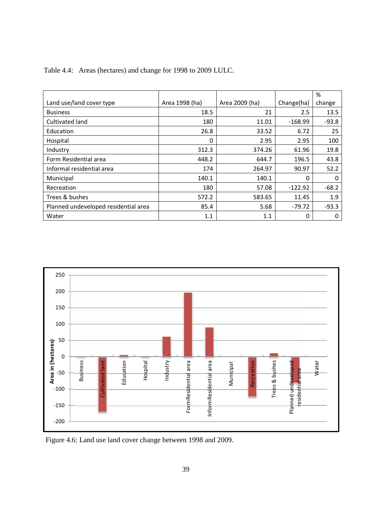|                                      |                |                |            | %        |
|--------------------------------------|----------------|----------------|------------|----------|
| Land use/land cover type             | Area 1998 (ha) | Area 2009 (ha) | Change(ha) | change   |
| <b>Business</b>                      | 18.5           | 21             | 2.5        | 13.5     |
| Cultivated land                      | 180            | 11.01          | $-168.99$  | $-93.8$  |
| Education                            | 26.8           | 33.52          | 6.72       | 25       |
| Hospital                             | 0              | 2.95           | 2.95       | 100      |
| Industry                             | 312.3          | 374.26         | 61.96      | 19.8     |
| Form Residential area                | 448.2          | 644.7          | 196.5      | 43.8     |
| Informal residential area            | 174            | 264.97         | 90.97      | 52.2     |
| Municipal                            | 140.1          | 140.1          | $\Omega$   | $\Omega$ |
| Recreation                           | 180            | 57.08          | $-122.92$  | $-68.2$  |
| Trees & bushes                       | 572.2          | 583.65         | 11.45      | 1.9      |
| Planned undeveloped residential area | 85.4           | 5.68           | $-79.72$   | $-93.3$  |
| Water                                | 1.1            | 1.1            | 0          | 0        |

Table 4.4: Areas (hectares) and change for 1998 to 2009 LULC.



Figure 4.6: Land use land cover change between 1998 and 2009.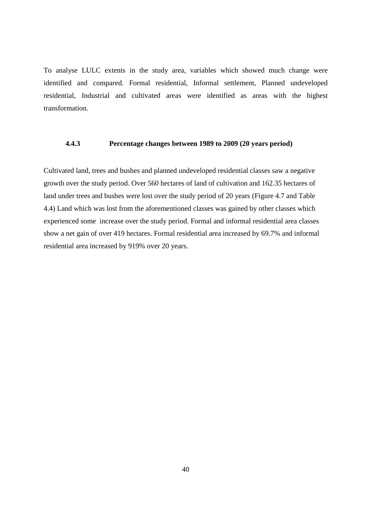To analyse LULC extents in the study area, variables which showed much change were identified and compared. Formal residential, Informal settlement, Planned undeveloped residential, Industrial and cultivated areas were identified as areas with the highest transformation.

#### **4.4.3 Percentage changes between 1989 to 2009 (20 years period)**

Cultivated land, trees and bushes and planned undeveloped residential classes saw a negative growth over the study period. Over 560 hectares of land of cultivation and 162.35 hectares of land under trees and bushes were lost over the study period of 20 years (Figure 4.7 and Table 4.4) Land which was lost from the aforementioned classes was gained by other classes which experienced some increase over the study period. Formal and informal residential area classes show a net gain of over 419 hectares. Formal residential area increased by 69.7% and informal residential area increased by 919% over 20 years.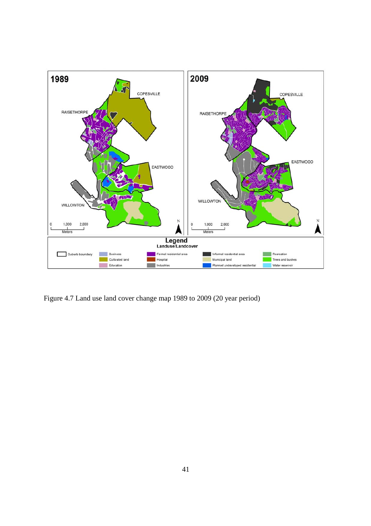

Figure 4.7 Land use land cover change map 1989 to 2009 (20 year period)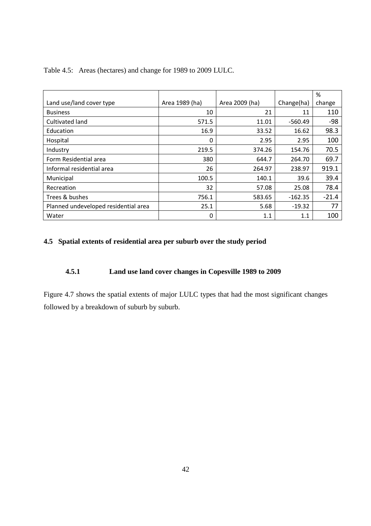|                                      |                |                |            | %       |
|--------------------------------------|----------------|----------------|------------|---------|
| Land use/land cover type             | Area 1989 (ha) | Area 2009 (ha) | Change(ha) | change  |
| <b>Business</b>                      | 10             | 21             | 11         | 110     |
| Cultivated land                      | 571.5          | 11.01          | $-560.49$  | -98     |
| Education                            | 16.9           | 33.52          | 16.62      | 98.3    |
| Hospital                             | 0              | 2.95           | 2.95       | 100     |
| Industry                             | 219.5          | 374.26         | 154.76     | 70.5    |
| Form Residential area                | 380            | 644.7          | 264.70     | 69.7    |
| Informal residential area            | 26             | 264.97         | 238.97     | 919.1   |
| Municipal                            | 100.5          | 140.1          | 39.6       | 39.4    |
| Recreation                           | 32             | 57.08          | 25.08      | 78.4    |
| Trees & bushes                       | 756.1          | 583.65         | $-162.35$  | $-21.4$ |
| Planned undeveloped residential area | 25.1           | 5.68           | $-19.32$   | 77      |
| Water                                | 0              | 1.1            | 1.1        | 100     |

Table 4.5: Areas (hectares) and change for 1989 to 2009 LULC.

### **4.5 Spatial extents of residential area per suburb over the study period**

### **4.5.1 Land use land cover changes in Copesville 1989 to 2009**

Figure 4.7 shows the spatial extents of major LULC types that had the most significant changes followed by a breakdown of suburb by suburb.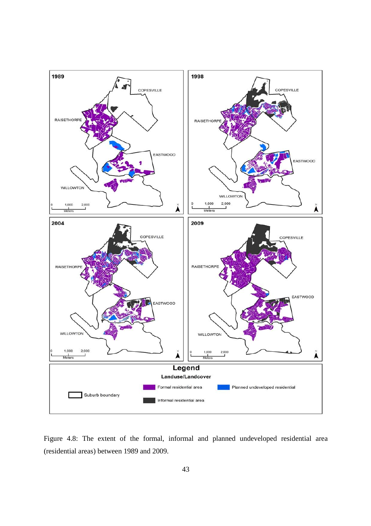

Figure 4.8: The extent of the formal, informal and planned undeveloped residential area (residential areas) between 1989 and 2009.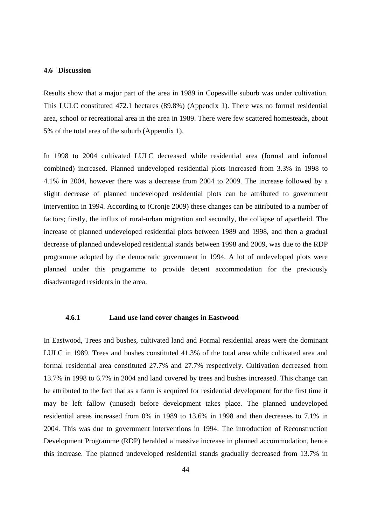#### **4.6 Discussion**

Results show that a major part of the area in 1989 in Copesville suburb was under cultivation. This LULC constituted 472.1 hectares (89.8%) (Appendix 1). There was no formal residential area, school or recreational area in the area in 1989. There were few scattered homesteads, about 5% of the total area of the suburb (Appendix 1).

In 1998 to 2004 cultivated LULC decreased while residential area (formal and informal combined) increased. Planned undeveloped residential plots increased from 3.3% in 1998 to 4.1% in 2004, however there was a decrease from 2004 to 2009. The increase followed by a slight decrease of planned undeveloped residential plots can be attributed to government intervention in 1994. According to (Cronje 2009) these changes can be attributed to a number of factors; firstly, the influx of rural-urban migration and secondly, the collapse of apartheid. The increase of planned undeveloped residential plots between 1989 and 1998, and then a gradual decrease of planned undeveloped residential stands between 1998 and 2009, was due to the RDP programme adopted by the democratic government in 1994. A lot of undeveloped plots were planned under this programme to provide decent accommodation for the previously disadvantaged residents in the area.

#### **4.6.1 Land use land cover changes in Eastwood**

In Eastwood, Trees and bushes, cultivated land and Formal residential areas were the dominant LULC in 1989. Trees and bushes constituted 41.3% of the total area while cultivated area and formal residential area constituted 27.7% and 27.7% respectively. Cultivation decreased from 13.7% in 1998 to 6.7% in 2004 and land covered by trees and bushes increased. This change can be attributed to the fact that as a farm is acquired for residential development for the first time it may be left fallow (unused) before development takes place. The planned undeveloped residential areas increased from 0% in 1989 to 13.6% in 1998 and then decreases to 7.1% in 2004. This was due to government interventions in 1994. The introduction of Reconstruction Development Programme (RDP) heralded a massive increase in planned accommodation, hence this increase. The planned undeveloped residential stands gradually decreased from 13.7% in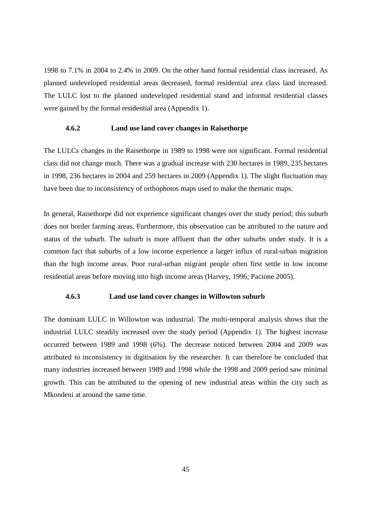1998 to 7.1% in 2004 to 2.4% in 2009. On the other hand formal residential class increased. As planned undeveloped residential areas decreased, formal residential area class land increased. The LULC lost to the planned undeveloped residential stand and informal residential classes were gained by the formal residential area (Appendix 1).

#### **4.6.2 Land use land cover changes in Raisethorpe**

The LULCs changes in the Raisethorpe in 1989 to 1998 were not significant. Formal residential class did not change much. There was a gradual increase with 230 hectares in 1989, 235 hectares in 1998, 236 hectares in 2004 and 259 hectares in 2009 (Appendix 1). The slight fluctuation may have been due to inconsistency of orthophotos maps used to make the thematic maps.

In general, Raisethorpe did not experience significant changes over the study period; this suburb does not border farming areas. Furthermore, this observation can be attributed to the nature and status of the suburb. The suburb is more affluent than the other suburbs under study. It is a common fact that suburbs of a low income experience a larger influx of rural-urban migration than the high income areas. Poor rural-urban migrant people often first settle in low income residential areas before moving into high income areas (Harvey, 1996; Pacione 2005).

#### **4.6.3 Land use land cover changes in Willowton suburb**

The dominant LULC in Willowton was industrial. The multi-temporal analysis shows that the industrial LULC steadily increased over the study period (Appendix 1). The highest increase occurred between 1989 and 1998 (6%). The decrease noticed between 2004 and 2009 was attributed to inconsistency in digitisation by the researcher. It can therefore be concluded that many industries increased between 1989 and 1998 while the 1998 and 2009 period saw minimal growth. This can be attributed to the opening of new industrial areas within the city such as Mkondeni at around the same time.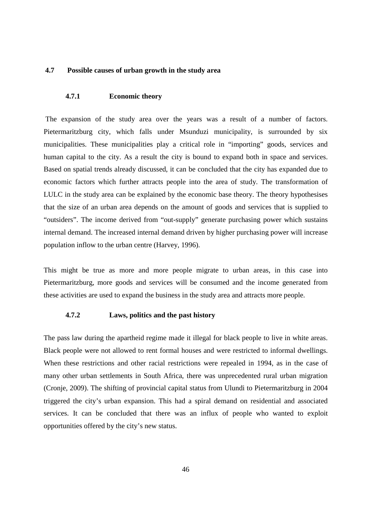#### **4.7 Possible causes of urban growth in the study area**

#### **4.7.1 Economic theory**

 The expansion of the study area over the years was a result of a number of factors. Pietermaritzburg city, which falls under Msunduzi municipality, is surrounded by six municipalities. These municipalities play a critical role in "importing" goods, services and human capital to the city. As a result the city is bound to expand both in space and services. Based on spatial trends already discussed, it can be concluded that the city has expanded due to economic factors which further attracts people into the area of study. The transformation of LULC in the study area can be explained by the economic base theory. The theory hypothesises that the size of an urban area depends on the amount of goods and services that is supplied to "outsiders". The income derived from "out-supply" generate purchasing power which sustains internal demand. The increased internal demand driven by higher purchasing power will increase population inflow to the urban centre (Harvey, 1996).

This might be true as more and more people migrate to urban areas, in this case into Pietermaritzburg, more goods and services will be consumed and the income generated from these activities are used to expand the business in the study area and attracts more people.

#### **4.7.2 Laws, politics and the past history**

The pass law during the apartheid regime made it illegal for black people to live in white areas. Black people were not allowed to rent formal houses and were restricted to informal dwellings. When these restrictions and other racial restrictions were repealed in 1994, as in the case of many other urban settlements in South Africa, there was unprecedented rural urban migration (Cronje, 2009). The shifting of provincial capital status from Ulundi to Pietermaritzburg in 2004 triggered the city's urban expansion. This had a spiral demand on residential and associated services. It can be concluded that there was an influx of people who wanted to exploit opportunities offered by the city's new status.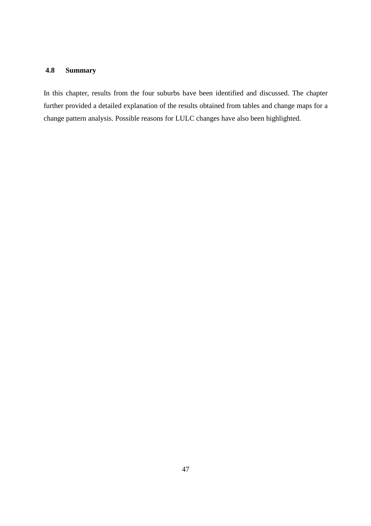### **4.8 Summary**

In this chapter, results from the four suburbs have been identified and discussed. The chapter further provided a detailed explanation of the results obtained from tables and change maps for a change pattern analysis. Possible reasons for LULC changes have also been highlighted.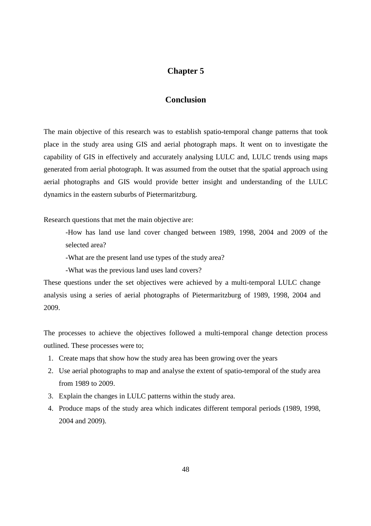### **Chapter 5**

### **Conclusion**

The main objective of this research was to establish spatio-temporal change patterns that took place in the study area using GIS and aerial photograph maps. It went on to investigate the capability of GIS in effectively and accurately analysing LULC and, LULC trends using maps generated from aerial photograph. It was assumed from the outset that the spatial approach using aerial photographs and GIS would provide better insight and understanding of the LULC dynamics in the eastern suburbs of Pietermaritzburg.

Research questions that met the main objective are:

-How has land use land cover changed between 1989, 1998, 2004 and 2009 of the selected area?

-What are the present land use types of the study area?

-What was the previous land uses land covers?

These questions under the set objectives were achieved by a multi-temporal LULC change analysis using a series of aerial photographs of Pietermaritzburg of 1989, 1998, 2004 and 2009.

The processes to achieve the objectives followed a multi-temporal change detection process outlined. These processes were to;

- 1. Create maps that show how the study area has been growing over the years
- 2. Use aerial photographs to map and analyse the extent of spatio-temporal of the study area from 1989 to 2009.
- 3. Explain the changes in LULC patterns within the study area.
- 4. Produce maps of the study area which indicates different temporal periods (1989, 1998, 2004 and 2009).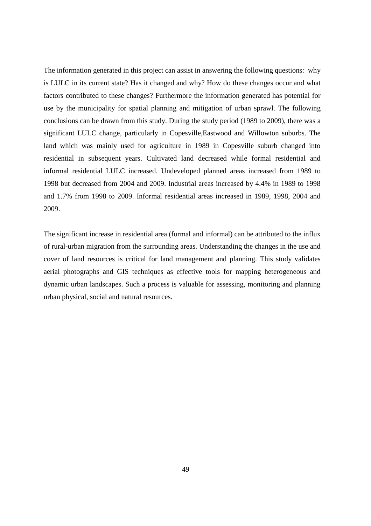The information generated in this project can assist in answering the following questions: why is LULC in its current state? Has it changed and why? How do these changes occur and what factors contributed to these changes? Furthermore the information generated has potential for use by the municipality for spatial planning and mitigation of urban sprawl. The following conclusions can be drawn from this study. During the study period (1989 to 2009), there was a significant LULC change, particularly in Copesville,Eastwood and Willowton suburbs. The land which was mainly used for agriculture in 1989 in Copesville suburb changed into residential in subsequent years. Cultivated land decreased while formal residential and informal residential LULC increased. Undeveloped planned areas increased from 1989 to 1998 but decreased from 2004 and 2009. Industrial areas increased by 4.4% in 1989 to 1998 and 1.7% from 1998 to 2009. Informal residential areas increased in 1989, 1998, 2004 and 2009.

The significant increase in residential area (formal and informal) can be attributed to the influx of rural-urban migration from the surrounding areas. Understanding the changes in the use and cover of land resources is critical for land management and planning. This study validates aerial photographs and GIS techniques as effective tools for mapping heterogeneous and dynamic urban landscapes. Such a process is valuable for assessing, monitoring and planning urban physical, social and natural resources.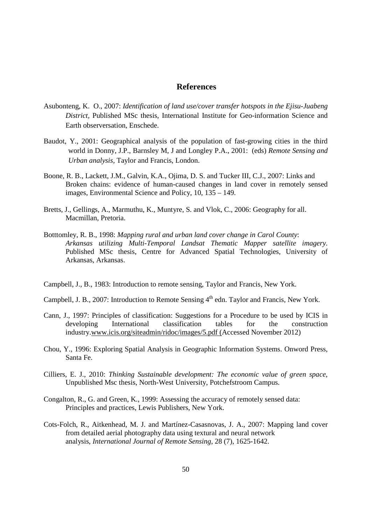### **References**

- Asubonteng, K. O., 2007: *Identification of land use/cover transfer hotspots in the Ejisu-Juabeng District,* Published MSc thesis, International Institute for Geo-information Science and Earth observersation, Enschede.
- Baudot, Y., 2001: Geographical analysis of the population of fast-growing cities in the third world in Donny, J.P., Barnsley M, J and Longley P.A., 2001: (eds) *Remote Sensing and Urban analysis,* Taylor and Francis, London.
- Boone, R. B., Lackett, J.M., Galvin, K.A., Ojima, D. S. and Tucker III, C.J., 2007: Links and Broken chains: evidence of human-caused changes in land cover in remotely sensed images, Environmental Science and Policy, 10, 135 – 149.
- Bretts, J., Gellings, A., Marmuthu, K., Muntyre, S. and Vlok, C., 2006: Geography for all. Macmillan, Pretoria.
- Botttomley, R. B., 1998: *Mapping rural and urban land cover change in Carol County*: *Arkansas utilizing Multi-Temporal Landsat Thematic Mapper satellite imagery.* Published MSc thesis, Centre for Advanced Spatial Technologies, University of Arkansas, Arkansas.
- Campbell, J., B., 1983: Introduction to remote sensing, Taylor and Francis, New York.
- Campbell, J. B., 2007: Introduction to Remote Sensing 4<sup>th</sup> edn. Taylor and Francis, New York.
- Cann, J., 1997: Principles of classification: Suggestions for a Procedure to be used by ICIS in developing International classification tables for the construction industry.www.icis.org/siteadmin/ridoc/images/5.pdf (Accessed November 2012)
- Chou, Y., 1996: Exploring Spatial Analysis in Geographic Information Systems. Onword Press, Santa Fe.
- Cilliers, E. J., 2010: *Thinking Sustainable development: The economic value of green space*, Unpublished Msc thesis, North-West University, Potchefstroom Campus.
- Congalton, R., G. and Green, K., 1999: Assessing the accuracy of remotely sensed data: Principles and practices, Lewis Publishers, New York.
- Cots-Folch, R., Aitkenhead, M. J. and Martínez-Casasnovas, J. A., 2007: Mapping land cover from detailed aerial photography data using textural and neural network analysis, *International Journal of Remote Sensing*, 28 (7), 1625-1642.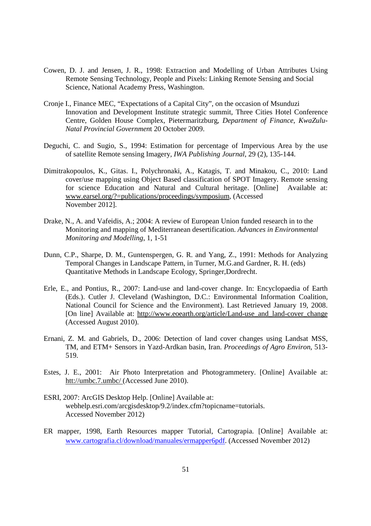- Cowen, D. J. and Jensen, J. R., 1998: Extraction and Modelling of Urban Attributes Using Remote Sensing Technology, People and Pixels: Linking Remote Sensing and Social Science, National Academy Press, Washington.
- Cronje I., Finance MEC, "Expectations of a Capital City", on the occasion of Msunduzi Innovation and Development Institute strategic summit, Three Cities Hotel Conference Centre, Golden House Complex, Pietermaritzburg, *Department of Finance, KwaZulu-Natal Provincial Governmen*t 20 October 2009.
- Deguchi, C. and Sugio, S., 1994: Estimation for percentage of Impervious Area by the use of satellite Remote sensing Imagery*, IWA Publishing Journal*, 29 (2), 135-144.
- Dimitrakopoulos, K., Gitas. I., Polychronaki, A., Katagis, T. and Minakou, C., 2010: Land cover/use mapping using Object Based classification of SPOT Imagery. Remote sensing for science Education and Natural and Cultural heritage. [Online] Available at: www.earsel.org/?=publications/proceedings/symposium*,* (Accessed November 2012].
- Drake, N., A. and Vafeidis, A.; 2004: A review of European Union funded research in to the Monitoring and mapping of Mediterranean desertification. *Advances in Environmental Monitoring and Modelling*, 1, 1-51
- Dunn, C.P., Sharpe, D. M., Guntenspergen, G. R. and Yang, Z., 1991: Methods for Analyzing Temporal Changes in Landscape Pattern, in Turner, M.G.and Gardner, R. H. (eds) Quantitative Methods in Landscape Ecology, Springer,Dordrecht.
- Erle, E., and Pontius, R., 2007: Land-use and land-cover change. In: Encyclopaedia of Earth (Eds.). Cutler J. Cleveland (Washington, D.C.: Environmental Information Coalition, National Council for Science and the Environment). Last Retrieved January 19, 2008. [On line] Available at: http://www.eoearth.org/article/Land-use\_and\_land-cover\_change (Accessed August 2010).
- Ernani, Z. M. and Gabriels, D., 2006: Detection of land cover changes using Landsat MSS, TM, and ETM+ Sensors in Yazd-Ardkan basin, Iran. *Proceedings of Agro Environ*, 513- 519.
- Estes, J. E., 2001: Air Photo Interpretation and Photogrammetery. [Online] Available at: htt://umbc.7.umbc/ (Accessed June 2010).
- ESRI, 2007: ArcGIS Desktop Help. [Online] Available at: webhelp.esri.com/arcgisdesktop/9.2/index.cfm?topicname=tutorials. Accessed November 2012)
- ER mapper, 1998, Earth Resources mapper Tutorial, Cartograpia. [Online] Available at: www.cartografia.cl/download/manuales/ermapper6pdf. (Accessed November 2012)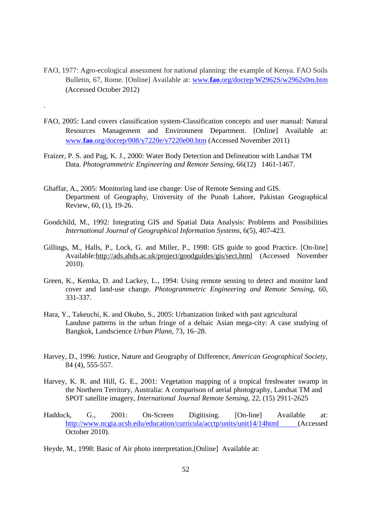- FAO, 1977: Agro-ecological assessment for national planning: the example of Kenya. FAO Soils Bulletin, 67, Rome. [Online] Available at: www.**fao**.org/docrep/W2962S/w2962s0m.htm (Accessed October 2012)
- FAO, 2005: Land covers classification system-Classification concepts and user manual: Natural Resources Management and Environment Department. [Online] Available at: www.**fao**.org/docrep/008/y7220e/y7220e00.htm (Accessed November 2011)
- Fraizer, P. S. and Pag, K. J., 2000: Water Body Detection and Delineation with Landsat TM Data. *Photogrammetric Engineering and Remote Sensing*, 66(12) 1461-1467.

.

- Ghaffar, A., 2005: Monitoring land use change: Use of Remote Sensing and GIS. Department of Geography, University of the Punab Lahore, Pakistan Geographical Review, 60, (1), 19-26.
- Goodchild, M., 1992: Integrating GIS and Spatial Data Analysis: Problems and Possibilities *International Journal of Geographical Information Systems,* 6(5), 407-423.
- Gillings, M., Halls, P., Lock, G. and Miller, P., 1998: GIS guide to good Practice. [On-line] Available:http://ads.ahds.ac.uk/project/goodguides/gis/sect.html (Accessed November 2010).
- Green, K., Kemka, D. and Lackey, L., 1994: Using remote sensing to detect and monitor land cover and land-use change. *Photogrammetric Engineering and Remote Sensing*, 60, 331-337.
- Hara, Y., Takeuchi, K. and Okubo, S., 2005: Urbanization linked with past agricultural Landuse patterns in the urban fringe of a deltaic Asian mega-city: A case studying of Bangkok, Landscience *Urban Plann,* 73, 16–28.
- Harvey, D., 1996: Justice, Nature and Geography of Difference, *American Geographical Society*, 84 (4), 555-557.
- Harvey, K. R. and Hill, G. E., 2001: Vegetation mapping of a tropical freshwater swamp in the Northern Territory, Australia: A comparison of aerial photography, Landsat TM and SPOT satellite imagery, *International Journal Remote Sensing*, 22, (15) 2911-2625
- Haddock, G., 2001: On-Screen Digitising. [On-line] Available at: http://www.ncgia.ucsb.edu/education/curricula/acctp/units/unit14/14html (Accessed October 2010).
- Heyde, M., 1998: Basic of Air photo interpretation.[Online] Available at: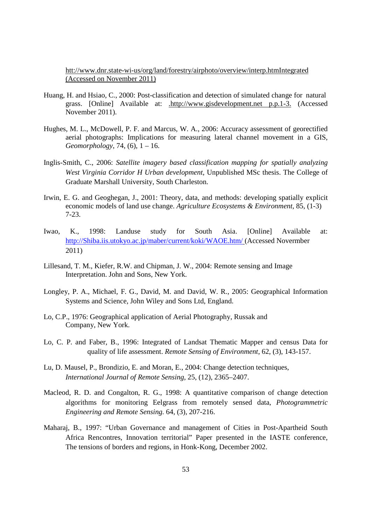htt://www.dnr.state-wi-us/org/land/forestry/airphoto/overview/interp.htmIntegrated (Accessed on November 2011)

- Huang, H. and Hsiao, C., 2000: Post-classification and detection of simulated change for natural grass. [Online] Available at: .http://www.gisdevelopment.net p.p.1-3. (Accessed November 2011).
- Hughes, M. L., McDowell, P. F. and Marcus, W. A., 2006: Accuracy assessment of georectified aerial photographs: Implications for measuring lateral channel movement in a GIS, *Geomorphology*, 74, (6), 1 – 16.
- Inglis-Smith, C., 2006: *Satellite imagery based classification mapping for spatially analyzing West Virginia Corridor H Urban development*, Unpublished MSc thesis. The College of Graduate Marshall University, South Charleston.
- Irwin, E. G. and Geoghegan, J., 2001: Theory, data, and methods: developing spatially explicit economic models of land use change. *Agriculture Ecosystems & Environment*, 85, (1-3) 7-23.
- Iwao, K., 1998: Landuse study for South Asia. [Online] Available at: http://Shiba.iis.utokyo.ac.jp/maber/current/koki/WAOE.htm/ (Accessed Novermber 2011)
- Lillesand, T. M., Kiefer, R.W. and Chipman, J. W., 2004: Remote sensing and Image Interpretation. John and Sons, New York.
- Longley, P. A., Michael, F. G., David, M. and David, W. R., 2005: Geographical Information Systems and Science, John Wiley and Sons Ltd, England.
- Lo, C.P., 1976: Geographical application of Aerial Photography, Russak and Company, New York.
- Lo, C. P. and Faber, B., 1996: Integrated of Landsat Thematic Mapper and census Data for quality of life assessment. *Remote Sensing of Environment*, 62, (3), 143-157.
- Lu, D. Mausel, P., Brondizio, E. and Moran, E., 2004: Change detection techniques, *International Journal of Remote Sensing*, 25, (12), 2365–2407.
- Macleod, R. D. and Congalton, R. G., 1998: A quantitative comparison of change detection algorithms for monitoring Eelgrass from remotely sensed data, *Photogrammetric Engineering and Remote Sensing.* 64, (3), 207-216.
- Maharaj, B., 1997: "Urban Governance and management of Cities in Post-Apartheid South Africa Rencontres, Innovation territorial" Paper presented in the IASTE conference, The tensions of borders and regions, in Honk-Kong, December 2002.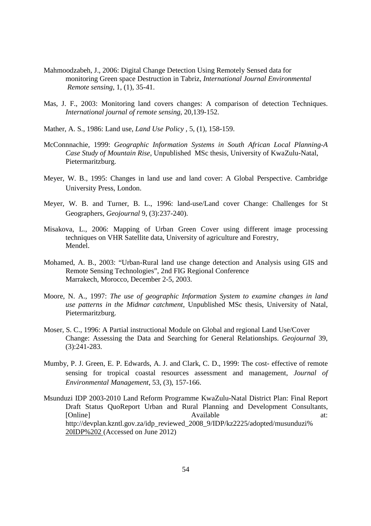- Mahmoodzabeh, J., 2006: Digital Change Detection Using Remotely Sensed data for monitoring Green space Destruction in Tabriz, *International Journal Environmental Remote sensing*, 1, (1), 35-41.
- Mas, J. F., 2003: Monitoring land covers changes: A comparison of detection Techniques. *International journal of remote sensing*, 20,139-152.
- Mather, A. S., 1986: Land use, *Land Use Policy ,* 5, (1), 158-159.
- McConnnachie, 1999: *Geographic Information Systems in South African Local Planning-A Case Study of Mountain Rise*, Unpublished MSc thesis, University of KwaZulu-Natal, Pietermaritzburg.
- Meyer, W. B., 1995: Changes in land use and land cover: A Global Perspective. Cambridge University Press, London.
- Meyer, W. B. and Turner, B. L., 1996: land-use/Land cover Change: Challenges for St Geographers, *Geojournal* 9, (3):237-240).
- Misakova, L., 2006: Mapping of Urban Green Cover using different image processing techniques on VHR Satellite data, University of agriculture and Forestry, Mendel.
- Mohamed, A. B., 2003: "Urban-Rural land use change detection and Analysis using GIS and Remote Sensing Technologies", 2nd FIG Regional Conference Marrakech, Morocco, December 2-5, 2003.
- Moore, N. A., 1997: *The use of geographic Information System to examine changes in land use patterns in the Midmar catchment*, Unpublished MSc thesis, University of Natal, Pietermaritzburg.
- Moser, S. C., 1996: A Partial instructional Module on Global and regional Land Use/Cover Change: Assessing the Data and Searching for General Relationships. *Geojournal* 39, (3):241-283.
- Mumby, P. J. Green, E. P. Edwards, A. J. and Clark, C. D., 1999: The cost- effective of remote sensing for tropical coastal resources assessment and management, *Journal of Environmental Management*, 53, (3), 157-166.
- Msunduzi IDP 2003-2010 Land Reform Programme KwaZulu-Natal District Plan: Final Report Draft Status QuoReport Urban and Rural Planning and Development Consultants, [Online] at: Available at: http://devplan.kzntl.gov.za/idp\_reviewed\_2008\_9/IDP/kz2225/adopted/musunduzi% 20IDP%202 (Accessed on June 2012)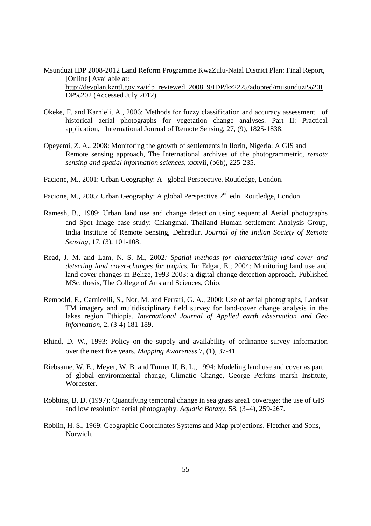Msunduzi IDP 2008-2012 Land Reform Programme KwaZulu-Natal District Plan: Final Report, [Online] Available at: http://devplan.kzntl.gov.za/idp\_reviewed\_2008\_9/IDP/kz2225/adopted/musunduzi%20I DP%202 (Accessed July 2012)

- Okeke, F. and Karnieli, A., 2006: Methods for fuzzy classification and accuracy assessment of historical aerial photographs for vegetation change analyses. Part II: Practical application, International Journal of Remote Sensing, 27, (9), 1825-1838.
- Opeyemi, Z. A., 2008: Monitoring the growth of settlements in Ilorin, Nigeria: A GIS and Remote sensing approach, The International archives of the photogrammetric, *remote sensing and spatial information sciences*, xxxvii, (b6b), 225-235.
- Pacione, M., 2001: Urban Geography: A global Perspective. Routledge, London.
- Pacione, M., 2005: Urban Geography: A global Perspective 2<sup>nd</sup> edn. Routledge, London.
- Ramesh, B., 1989: Urban land use and change detection using sequential Aerial photographs and Spot Image case study: Chiangmai, Thailand Human settlement Analysis Group, India Institute of Remote Sensing, Dehradur. *Journal of the Indian Society of Remote Sensing*, 17, (3), 101-108.
- Read, J. M. and Lam, N. S. M., 2002*: Spatial methods for characterizing land cover and detecting land cover-changes for tropics.* In: Edgar, E.; 2004: Monitoring land use and land cover changes in Belize, 1993-2003: a digital change detection approach. Published MSc, thesis, The College of Arts and Sciences, Ohio.
- Rembold, F., Carnicelli, S., Nor, M. and Ferrari, G. A., 2000: Use of aerial photographs, Landsat TM imagery and multidisciplinary field survey for land-cover change analysis in the lakes region Ethiopia, *International Journal of Applied earth observation and Geo information,* 2, (3-4) 181-189.
- Rhind, D. W., 1993: Policy on the supply and availability of ordinance survey information over the next five years. *Mapping Awareness* 7, (1), 37-41
- Riebsame, W. E., Meyer, W. B. and Turner II, B. L., 1994: Modeling land use and cover as part of global environmental change, Climatic Change, George Perkins marsh Institute, Worcester.
- Robbins, B. D. (1997): Quantifying temporal change in sea grass area1 coverage: the use of GIS and low resolution aerial photography. *Aquatic Botany*, 58, (3–4), 259-267.
- Roblin, H. S., 1969: Geographic Coordinates Systems and Map projections. Fletcher and Sons, Norwich.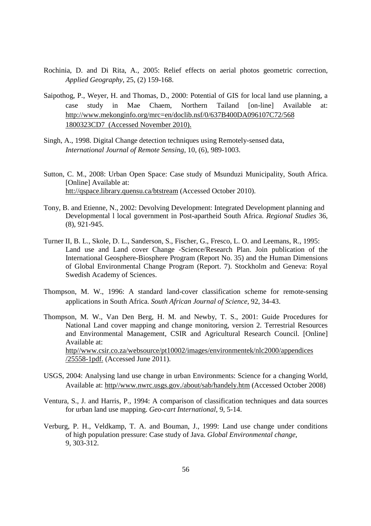- Rochinia, D. and Di Rita, A., 2005: Relief effects on aerial photos geometric correction, *Applied Geography*, 25, (2) 159-168.
- Saipothog, P., Weyer, H. and Thomas, D., 2000: Potential of GIS for local land use planning, a case study in Mae Chaem, Northern Tailand [on-line] Available at: http://www.mekonginfo.org/mrc=en/doclib.nsf/0/637B400DA096107C72/568 1800323CD7 (Accessed November 2010).
- Singh, A., 1998. Digital Change detection techniques using Remotely-sensed data, *International Journal of Remote Sensing,* 10, (6), 989-1003.
- Sutton, C. M., 2008: Urban Open Space: Case study of Msunduzi Municipality, South Africa. [Online] Available at: htt://qspace.library.quensu.ca/btstream (Accessed October 2010).
- Tony, B. and Etienne, N., 2002: Devolving Development: Integrated Development planning and Developmental l local government in Post-apartheid South Africa. *Regional Studies* 36, (8), 921-945.
- Turner II, B. L., Skole, D. L., Sanderson, S., Fischer, G., Fresco, L. O. and Leemans, R., 1995: Land use and Land cover Change -Science/Research Plan. Join publication of the International Geosphere-Biosphere Program (Report No. 35) and the Human Dimensions of Global Environmental Change Program (Report. 7). Stockholm and Geneva: Royal Swedish Academy of Sciences.
- Thompson, M. W., 1996: A standard land-cover classification scheme for remote-sensing applications in South Africa. *South African Journal of Science,* 92, 34-43.
- Thompson, M. W., Van Den Berg, H. M. and Newby, T. S., 2001: Guide Procedures for National Land cover mapping and change monitoring, version 2. Terrestrial Resources and Environmental Management, CSIR and Agricultural Research Council. [Online] Available at: http//www.csir.co.za/websource/pt10002/images/environmentek/nlc2000/appendices /25558-1pdf. (Accessed June 2011).
- USGS, 2004: Analysing land use change in urban Environments: Science for a changing World, Available at: http//www.nwrc.usgs.gov./about/sab/handely.htm (Accessed October 2008)
- Ventura, S., J. and Harris, P., 1994: A comparison of classification techniques and data sources for urban land use mapping. *Geo-cart International*, 9, 5-14.
- Verburg, P. H., Veldkamp, T. A. and Bouman, J., 1999: Land use change under conditions of high population pressure: Case study of Java. *Global Environmental change*, 9, 303-312.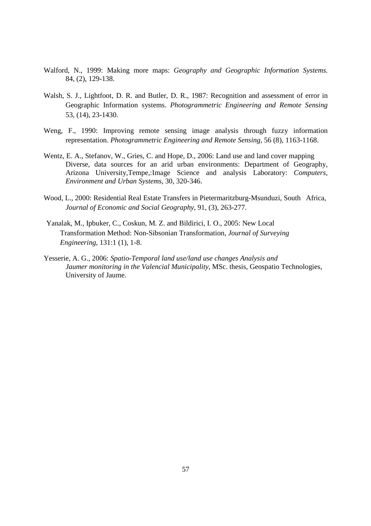- Walford, N., 1999: Making more maps: *Geography and Geographic Information Systems.*  84, (2), 129-138.
- Walsh, S. J., Lightfoot, D. R. and Butler, D. R., 1987: Recognition and assessment of error in Geographic Information systems. *Photogrammetric Engineering and Remote Sensing* 53, (14), 23-1430.
- Weng, F., 1990: Improving remote sensing image analysis through fuzzy information representation. *Photogrammetric Engineering and Remote Sensing,* 56 (8), 1163-1168.
- Wentz, E. A., Stefanov, W., Gries, C. and Hope, D., 2006: Land use and land cover mapping Diverse, data sources for an arid urban environments: Department of Geography, Arizona University,Tempe,:Image Science and analysis Laboratory: *Computers, Environment and Urban Systems*, 30, 320-346.
- Wood, L., 2000: Residential Real Estate Transfers in Pietermaritzburg-Msunduzi, South Africa, *Journal of Economic and Social Geography*, 91, (3), 263-277.
- Yanalak, M., Ipbuker, C., Coskun, M. Z. and Bildirici, I. O., 2005: New Local Transformation Method: Non-Sibsonian Transformation, *Journal of Surveying Engineering*, 131:1 (1), 1-8.
- Yesserie, A. G., 2006: *Spatio-Temporal land use/land use changes Analysis and Jaumer monitoring in the Valencial Municipality*, MSc. thesis, Geospatio Technologies, University of Jaume.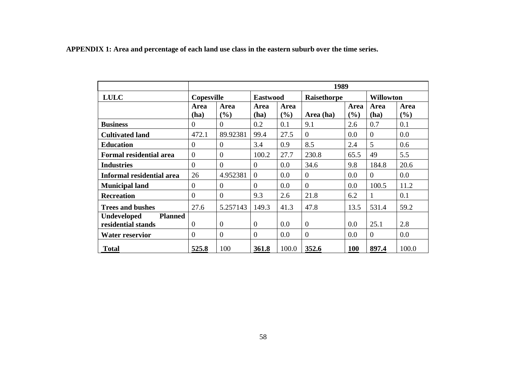**APPENDIX 1: Area and percentage of each land use class in the eastern suburb over the time series.** 

|                                                            | 1989              |                  |                 |             |                    |                |                  |             |
|------------------------------------------------------------|-------------------|------------------|-----------------|-------------|--------------------|----------------|------------------|-------------|
| <b>LULC</b>                                                | <b>Copesville</b> |                  | <b>Eastwood</b> |             | <b>Raisethorpe</b> |                | <b>Willowton</b> |             |
|                                                            | Area<br>(ha)      | Area<br>(%)      | Area<br>(ha)    | Area<br>(%) | Area (ha)          | Area<br>$(\%)$ | Area<br>(ha)     | Area<br>(%) |
| <b>Business</b>                                            | $\theta$          | $\overline{0}$   | 0.2             | 0.1         | 9.1                | 2.6            | 0.7              | 0.1         |
| <b>Cultivated land</b>                                     | 472.1             | 89.92381         | 99.4            | 27.5        | $\Omega$           | 0.0            | $\boldsymbol{0}$ | 0.0         |
| <b>Education</b>                                           | $\mathbf{0}$      | $\boldsymbol{0}$ | 3.4             | 0.9         | 8.5                | 2.4            | 5                | 0.6         |
| <b>Formal residential area</b>                             | $\overline{0}$    | $\overline{0}$   | 100.2           | 27.7        | 230.8              | 65.5           | 49               | 5.5         |
| <b>Industries</b>                                          | $\theta$          | $\Omega$         | $\overline{0}$  | 0.0         | 34.6               | 9.8            | 184.8            | 20.6        |
| Informal residential area                                  | 26                | 4.952381         | $\theta$        | 0.0         | $\overline{0}$     | 0.0            | $\Omega$         | 0.0         |
| <b>Municipal land</b>                                      | $\overline{0}$    | $\overline{0}$   | $\theta$        | 0.0         | $\overline{0}$     | 0.0            | 100.5            | 11.2        |
| <b>Recreation</b>                                          | $\overline{0}$    | $\overline{0}$   | 9.3             | 2.6         | 21.8               | 6.2            | 1                | 0.1         |
| <b>Trees and bushes</b>                                    | 27.6              | 5.257143         | 149.3           | 41.3        | 47.8               | 13.5           | 531.4            | 59.2        |
| <b>Undeveloped</b><br><b>Planned</b><br>residential stands | $\Omega$          | $\theta$         | $\Omega$        | 0.0         | $\overline{0}$     | 0.0            | 25.1             | 2.8         |
| <b>Water reservior</b>                                     | $\theta$          | $\boldsymbol{0}$ | $\overline{0}$  | 0.0         | $\overline{0}$     | 0.0            | $\theta$         | 0.0         |
| <b>Total</b>                                               | 525.8             | 100              | 361.8           | 100.0       | 352.6              | 100            | 897.4            | 100.0       |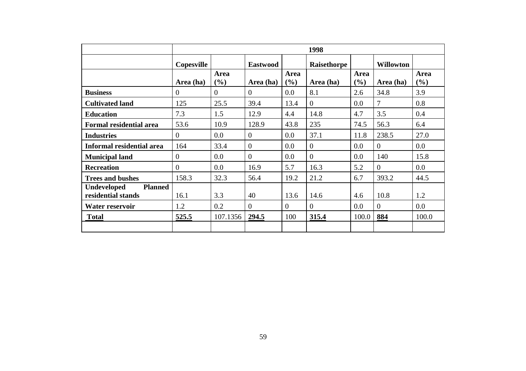|                                                            | 1998           |                |                 |                      |              |                    |                  |                    |
|------------------------------------------------------------|----------------|----------------|-----------------|----------------------|--------------|--------------------|------------------|--------------------|
|                                                            | Copesville     |                | <b>Eastwood</b> |                      | Raisethorpe  |                    | <b>Willowton</b> |                    |
|                                                            | Area (ha)      | Area<br>(%)    | Area (ha)       | <b>Area</b><br>(9/0) | Area (ha)    | <b>Area</b><br>(%) | Area (ha)        | <b>Area</b><br>(%) |
| <b>Business</b>                                            | $\overline{0}$ | $\overline{0}$ | $\overline{0}$  | 0.0                  | 8.1          | 2.6                | 34.8             | 3.9                |
| <b>Cultivated land</b>                                     | 125            | 25.5           | 39.4            | 13.4                 | $\theta$     | $0.0\,$            | 7                | 0.8                |
| <b>Education</b>                                           | 7.3            | 1.5            | 12.9            | 4.4                  | 14.8         | 4.7                | 3.5              | 0.4                |
| <b>Formal residential area</b>                             | 53.6           | 10.9           | 128.9           | 43.8                 | 235          | 74.5               | 56.3             | 6.4                |
| <b>Industries</b>                                          | $\theta$       | 0.0            | $\overline{0}$  | 0.0                  | 37.1         | 11.8               | 238.5            | 27.0               |
| Informal residential area                                  | 164            | 33.4           | $\theta$        | 0.0                  | $\theta$     | 0.0                | $\Omega$         | 0.0                |
| <b>Municipal land</b>                                      | $\overline{0}$ | 0.0            | $\overline{0}$  | 0.0                  | $\mathbf{0}$ | 0.0                | 140              | 15.8               |
| <b>Recreation</b>                                          | $\Omega$       | 0.0            | 16.9            | 5.7                  | 16.3         | 5.2                | $\overline{0}$   | 0.0                |
| <b>Trees and bushes</b>                                    | 158.3          | 32.3           | 56.4            | 19.2                 | 21.2         | 6.7                | 393.2            | 44.5               |
| <b>Planned</b><br><b>Undeveloped</b><br>residential stands | 16.1           | 3.3            | 40              | 13.6                 | 14.6         | 4.6                | 10.8             | 1.2                |
| Water reservoir                                            | 1.2            | 0.2            | $\theta$        | $\theta$             | $\theta$     | $0.0\,$            | $\theta$         | 0.0                |
| <b>Total</b>                                               | 525.5          | 107.1356       | 294.5           | 100                  | 315.4        | 100.0              | 884              | 100.0              |
|                                                            |                |                |                 |                      |              |                    |                  |                    |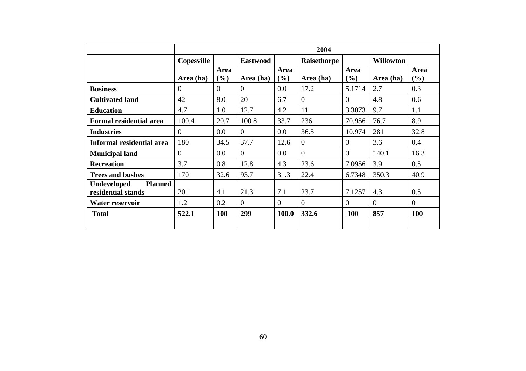|                                                            | 2004           |                |                 |                |                |                    |                  |                |
|------------------------------------------------------------|----------------|----------------|-----------------|----------------|----------------|--------------------|------------------|----------------|
|                                                            | Copesville     |                | <b>Eastwood</b> |                | Raisethorpe    |                    | <b>Willowton</b> |                |
|                                                            | Area (ha)      | Area<br>$(\%)$ | Area (ha)       | Area<br>$($ %) | Area (ha)      | <b>Area</b><br>(%) | Area (ha)        | Area<br>(%)    |
| <b>Business</b>                                            | $\overline{0}$ | $\Omega$       | $\theta$        | 0.0            | 17.2           | 5.1714             | 2.7              | 0.3            |
| <b>Cultivated land</b>                                     | 42             | 8.0            | 20              | 6.7            | $\overline{0}$ | $\theta$           | 4.8              | 0.6            |
| <b>Education</b>                                           | 4.7            | 1.0            | 12.7            | 4.2            | 11             | 3.3073             | 9.7              | 1.1            |
| <b>Formal residential area</b>                             | 100.4          | 20.7           | 100.8           | 33.7           | 236            | 70.956             | 76.7             | 8.9            |
| <b>Industries</b>                                          | $\overline{0}$ | $0.0\,$        | $\overline{0}$  | 0.0            | 36.5           | 10.974             | 281              | 32.8           |
| Informal residential area                                  | 180            | 34.5           | 37.7            | 12.6           | $\overline{0}$ | $\overline{0}$     | 3.6              | 0.4            |
| <b>Municipal land</b>                                      | $\theta$       | 0.0            | $\theta$        | 0.0            | $\overline{0}$ | $\theta$           | 140.1            | 16.3           |
| <b>Recreation</b>                                          | 3.7            | 0.8            | 12.8            | 4.3            | 23.6           | 7.0956             | 3.9              | 0.5            |
| <b>Trees and bushes</b>                                    | 170            | 32.6           | 93.7            | 31.3           | 22.4           | 6.7348             | 350.3            | 40.9           |
| <b>Planned</b><br><b>Undeveloped</b><br>residential stands | 20.1           | 4.1            | 21.3            | 7.1            | 23.7           | 7.1257             | 4.3              | 0.5            |
| Water reservoir                                            | 1.2            | 0.2            | $\theta$        | $\theta$       | $\overline{0}$ | $\overline{0}$     | $\Omega$         | $\overline{0}$ |
| <b>Total</b>                                               | 522.1          | <b>100</b>     | 299             | 100.0          | 332.6          | <b>100</b>         | 857              | <b>100</b>     |
|                                                            |                |                |                 |                |                |                    |                  |                |